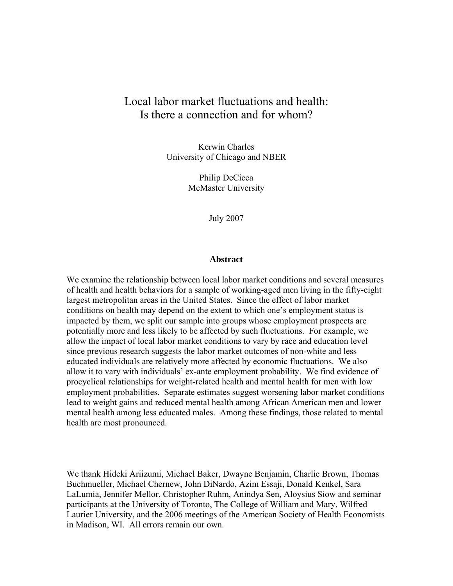# Local labor market fluctuations and health: Is there a connection and for whom?

Kerwin Charles University of Chicago and NBER

> Philip DeCicca McMaster University

> > July 2007

#### **Abstract**

We examine the relationship between local labor market conditions and several measures of health and health behaviors for a sample of working-aged men living in the fifty-eight largest metropolitan areas in the United States. Since the effect of labor market conditions on health may depend on the extent to which one's employment status is impacted by them, we split our sample into groups whose employment prospects are potentially more and less likely to be affected by such fluctuations. For example, we allow the impact of local labor market conditions to vary by race and education level since previous research suggests the labor market outcomes of non-white and less educated individuals are relatively more affected by economic fluctuations. We also allow it to vary with individuals' ex-ante employment probability. We find evidence of procyclical relationships for weight-related health and mental health for men with low employment probabilities. Separate estimates suggest worsening labor market conditions lead to weight gains and reduced mental health among African American men and lower mental health among less educated males. Among these findings, those related to mental health are most pronounced.

We thank Hideki Ariizumi, Michael Baker, Dwayne Benjamin, Charlie Brown, Thomas Buchmueller, Michael Chernew, John DiNardo, Azim Essaji, Donald Kenkel, Sara LaLumia, Jennifer Mellor, Christopher Ruhm, Anindya Sen, Aloysius Siow and seminar participants at the University of Toronto, The College of William and Mary, Wilfred Laurier University, and the 2006 meetings of the American Society of Health Economists in Madison, WI. All errors remain our own.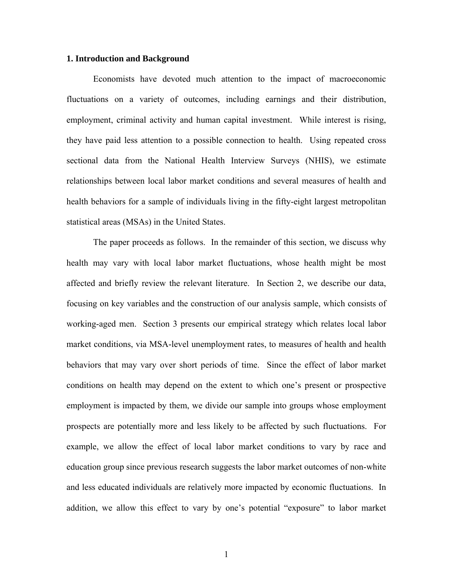## **1. Introduction and Background**

Economists have devoted much attention to the impact of macroeconomic fluctuations on a variety of outcomes, including earnings and their distribution, employment, criminal activity and human capital investment. While interest is rising, they have paid less attention to a possible connection to health. Using repeated cross sectional data from the National Health Interview Surveys (NHIS), we estimate relationships between local labor market conditions and several measures of health and health behaviors for a sample of individuals living in the fifty-eight largest metropolitan statistical areas (MSAs) in the United States.

The paper proceeds as follows. In the remainder of this section, we discuss why health may vary with local labor market fluctuations, whose health might be most affected and briefly review the relevant literature. In Section 2, we describe our data, focusing on key variables and the construction of our analysis sample, which consists of working-aged men. Section 3 presents our empirical strategy which relates local labor market conditions, via MSA-level unemployment rates, to measures of health and health behaviors that may vary over short periods of time. Since the effect of labor market conditions on health may depend on the extent to which one's present or prospective employment is impacted by them, we divide our sample into groups whose employment prospects are potentially more and less likely to be affected by such fluctuations. For example, we allow the effect of local labor market conditions to vary by race and education group since previous research suggests the labor market outcomes of non-white and less educated individuals are relatively more impacted by economic fluctuations. In addition, we allow this effect to vary by one's potential "exposure" to labor market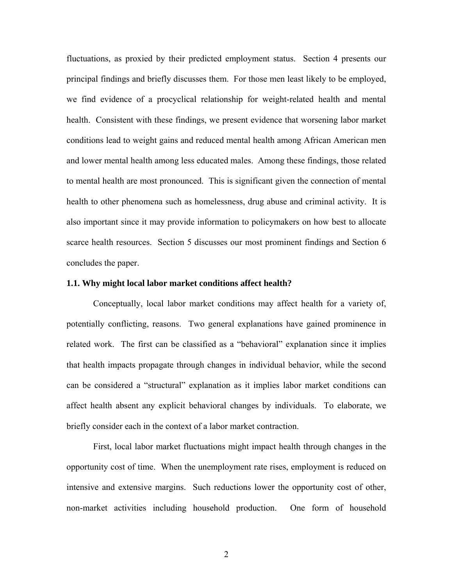fluctuations, as proxied by their predicted employment status. Section 4 presents our principal findings and briefly discusses them. For those men least likely to be employed, we find evidence of a procyclical relationship for weight-related health and mental health. Consistent with these findings, we present evidence that worsening labor market conditions lead to weight gains and reduced mental health among African American men and lower mental health among less educated males. Among these findings, those related to mental health are most pronounced. This is significant given the connection of mental health to other phenomena such as homelessness, drug abuse and criminal activity. It is also important since it may provide information to policymakers on how best to allocate scarce health resources. Section 5 discusses our most prominent findings and Section 6 concludes the paper.

#### **1.1. Why might local labor market conditions affect health?**

Conceptually, local labor market conditions may affect health for a variety of, potentially conflicting, reasons. Two general explanations have gained prominence in related work. The first can be classified as a "behavioral" explanation since it implies that health impacts propagate through changes in individual behavior, while the second can be considered a "structural" explanation as it implies labor market conditions can affect health absent any explicit behavioral changes by individuals. To elaborate, we briefly consider each in the context of a labor market contraction.

First, local labor market fluctuations might impact health through changes in the opportunity cost of time. When the unemployment rate rises, employment is reduced on intensive and extensive margins. Such reductions lower the opportunity cost of other, non-market activities including household production. One form of household

2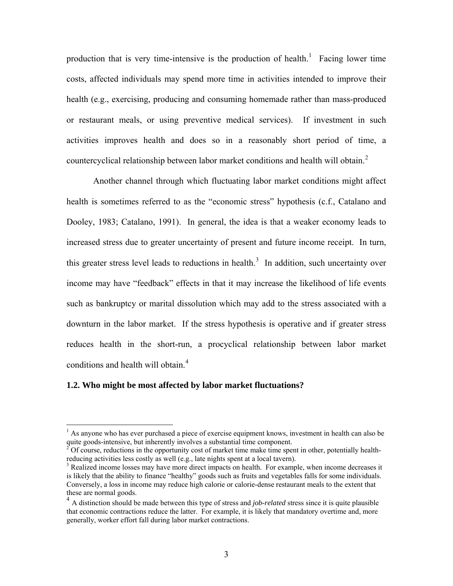production that is very time-intensive is the production of health.<sup>[1](#page-3-0)</sup> Facing lower time costs, affected individuals may spend more time in activities intended to improve their health (e.g., exercising, producing and consuming homemade rather than mass-produced or restaurant meals, or using preventive medical services). If investment in such activities improves health and does so in a reasonably short period of time, a countercyclical relationship between labor market conditions and health will obtain.<sup>[2](#page-3-1)</sup>

Another channel through which fluctuating labor market conditions might affect health is sometimes referred to as the "economic stress" hypothesis (c.f., Catalano and Dooley, 1983; Catalano, 1991). In general, the idea is that a weaker economy leads to increased stress due to greater uncertainty of present and future income receipt. In turn, this greater stress level leads to reductions in health.<sup>[3](#page-3-2)</sup> In addition, such uncertainty over income may have "feedback" effects in that it may increase the likelihood of life events such as bankruptcy or marital dissolution which may add to the stress associated with a downturn in the labor market. If the stress hypothesis is operative and if greater stress reduces health in the short-run, a procyclical relationship between labor market conditions and health will obtain.<sup>[4](#page-3-3)</sup>

#### **1.2. Who might be most affected by labor market fluctuations?**

<span id="page-3-0"></span><sup>&</sup>lt;sup>1</sup> As anyone who has ever purchased a piece of exercise equipment knows, investment in health can also be quite goods-intensive, but inherently involves a substantial time component.<br><sup>2</sup> Of course, reductions in the opportunity cost of market time make time spent in other, potentially health-

<span id="page-3-1"></span>reducing activities less costly as well (e.g., late nights spent at a local tavern).

<span id="page-3-2"></span><sup>&</sup>lt;sup>3</sup> Realized income losses may have more direct impacts on health. For example, when income decreases it is likely that the ability to finance "healthy" goods such as fruits and vegetables falls for some individuals. Conversely, a loss in income may reduce high calorie or calorie-dense restaurant meals to the extent that these are normal goods.

<span id="page-3-3"></span><sup>4</sup> A distinction should be made between this type of stress and *job-related* stress since it is quite plausible that economic contractions reduce the latter. For example, it is likely that mandatory overtime and, more generally, worker effort fall during labor market contractions.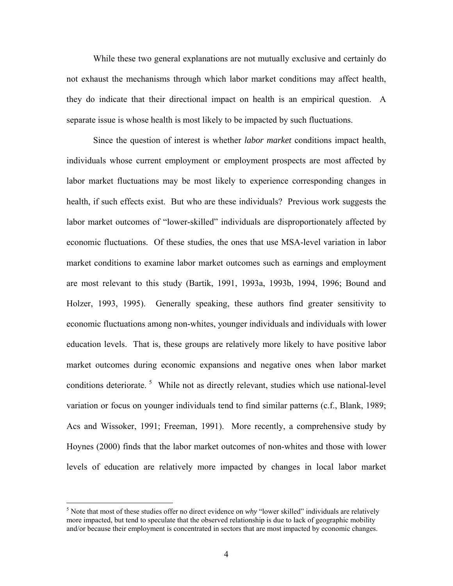While these two general explanations are not mutually exclusive and certainly do not exhaust the mechanisms through which labor market conditions may affect health, they do indicate that their directional impact on health is an empirical question. A separate issue is whose health is most likely to be impacted by such fluctuations.

Since the question of interest is whether *labor market* conditions impact health, individuals whose current employment or employment prospects are most affected by labor market fluctuations may be most likely to experience corresponding changes in health, if such effects exist. But who are these individuals? Previous work suggests the labor market outcomes of "lower-skilled" individuals are disproportionately affected by economic fluctuations. Of these studies, the ones that use MSA-level variation in labor market conditions to examine labor market outcomes such as earnings and employment are most relevant to this study (Bartik, 1991, 1993a, 1993b, 1994, 1996; Bound and Holzer, 1993, 1995). Generally speaking, these authors find greater sensitivity to economic fluctuations among non-whites, younger individuals and individuals with lower education levels. That is, these groups are relatively more likely to have positive labor market outcomes during economic expansions and negative ones when labor market conditions deteriorate.<sup>[5](#page-4-0)</sup> While not as directly relevant, studies which use national-level variation or focus on younger individuals tend to find similar patterns (c.f., Blank, 1989; Acs and Wissoker, 1991; Freeman, 1991). More recently, a comprehensive study by Hoynes (2000) finds that the labor market outcomes of non-whites and those with lower levels of education are relatively more impacted by changes in local labor market

<span id="page-4-0"></span><sup>&</sup>lt;sup>5</sup> Note that most of these studies offer no direct evidence on *why* "lower skilled" individuals are relatively more impacted, but tend to speculate that the observed relationship is due to lack of geographic mobility and/or because their employment is concentrated in sectors that are most impacted by economic changes.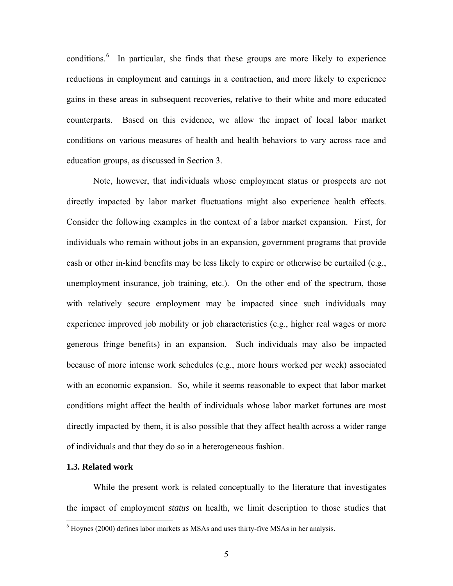conditions.<sup>[6](#page-5-0)</sup> In particular, she finds that these groups are more likely to experience reductions in employment and earnings in a contraction, and more likely to experience gains in these areas in subsequent recoveries, relative to their white and more educated counterparts. Based on this evidence, we allow the impact of local labor market conditions on various measures of health and health behaviors to vary across race and education groups, as discussed in Section 3.

Note, however, that individuals whose employment status or prospects are not directly impacted by labor market fluctuations might also experience health effects. Consider the following examples in the context of a labor market expansion. First, for individuals who remain without jobs in an expansion, government programs that provide cash or other in-kind benefits may be less likely to expire or otherwise be curtailed (e.g., unemployment insurance, job training, etc.). On the other end of the spectrum, those with relatively secure employment may be impacted since such individuals may experience improved job mobility or job characteristics (e.g., higher real wages or more generous fringe benefits) in an expansion. Such individuals may also be impacted because of more intense work schedules (e.g., more hours worked per week) associated with an economic expansion. So, while it seems reasonable to expect that labor market conditions might affect the health of individuals whose labor market fortunes are most directly impacted by them, it is also possible that they affect health across a wider range of individuals and that they do so in a heterogeneous fashion.

## **1.3. Related work**

 $\overline{a}$ 

While the present work is related conceptually to the literature that investigates the impact of employment *status* on health, we limit description to those studies that

<span id="page-5-0"></span> $6$  Hoynes (2000) defines labor markets as MSAs and uses thirty-five MSAs in her analysis.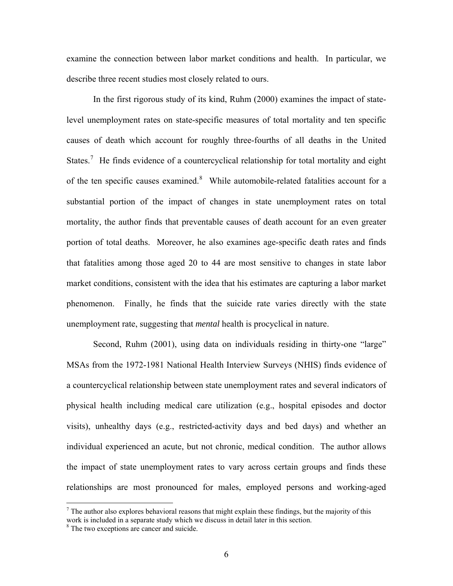examine the connection between labor market conditions and health. In particular, we describe three recent studies most closely related to ours.

In the first rigorous study of its kind, Ruhm (2000) examines the impact of statelevel unemployment rates on state-specific measures of total mortality and ten specific causes of death which account for roughly three-fourths of all deaths in the United States.<sup>[7](#page-6-0)</sup> He finds evidence of a countercyclical relationship for total mortality and eight of the ten specific causes examined.<sup>[8](#page-6-1)</sup> While automobile-related fatalities account for a substantial portion of the impact of changes in state unemployment rates on total mortality, the author finds that preventable causes of death account for an even greater portion of total deaths. Moreover, he also examines age-specific death rates and finds that fatalities among those aged 20 to 44 are most sensitive to changes in state labor market conditions, consistent with the idea that his estimates are capturing a labor market phenomenon. Finally, he finds that the suicide rate varies directly with the state unemployment rate, suggesting that *mental* health is procyclical in nature.

Second, Ruhm (2001), using data on individuals residing in thirty-one "large" MSAs from the 1972-1981 National Health Interview Surveys (NHIS) finds evidence of a countercyclical relationship between state unemployment rates and several indicators of physical health including medical care utilization (e.g., hospital episodes and doctor visits), unhealthy days (e.g., restricted-activity days and bed days) and whether an individual experienced an acute, but not chronic, medical condition. The author allows the impact of state unemployment rates to vary across certain groups and finds these relationships are most pronounced for males, employed persons and working-aged

<span id="page-6-0"></span> $<sup>7</sup>$  The author also explores behavioral reasons that might explain these findings, but the majority of this</sup> work is included in a separate study which we discuss in detail later in this section.

<span id="page-6-1"></span><sup>&</sup>lt;sup>8</sup> The two exceptions are cancer and suicide.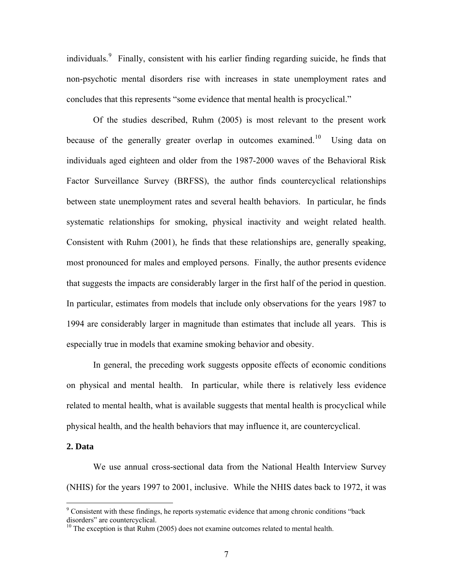individuals.<sup>[9](#page-7-0)</sup> Finally, consistent with his earlier finding regarding suicide, he finds that non-psychotic mental disorders rise with increases in state unemployment rates and concludes that this represents "some evidence that mental health is procyclical."

Of the studies described, Ruhm (2005) is most relevant to the present work because of the generally greater overlap in outcomes examined.<sup>[10](#page-7-1)</sup> Using data on individuals aged eighteen and older from the 1987-2000 waves of the Behavioral Risk Factor Surveillance Survey (BRFSS), the author finds countercyclical relationships between state unemployment rates and several health behaviors. In particular, he finds systematic relationships for smoking, physical inactivity and weight related health. Consistent with Ruhm (2001), he finds that these relationships are, generally speaking, most pronounced for males and employed persons. Finally, the author presents evidence that suggests the impacts are considerably larger in the first half of the period in question. In particular, estimates from models that include only observations for the years 1987 to 1994 are considerably larger in magnitude than estimates that include all years. This is especially true in models that examine smoking behavior and obesity.

In general, the preceding work suggests opposite effects of economic conditions on physical and mental health. In particular, while there is relatively less evidence related to mental health, what is available suggests that mental health is procyclical while physical health, and the health behaviors that may influence it, are countercyclical.

### **2. Data**

 $\overline{a}$ 

We use annual cross-sectional data from the National Health Interview Survey (NHIS) for the years 1997 to 2001, inclusive. While the NHIS dates back to 1972, it was

<span id="page-7-0"></span><sup>&</sup>lt;sup>9</sup> Consistent with these findings, he reports systematic evidence that among chronic conditions "back disorders" are countercyclical.

<span id="page-7-1"></span> $10$  The exception is that Ruhm (2005) does not examine outcomes related to mental health.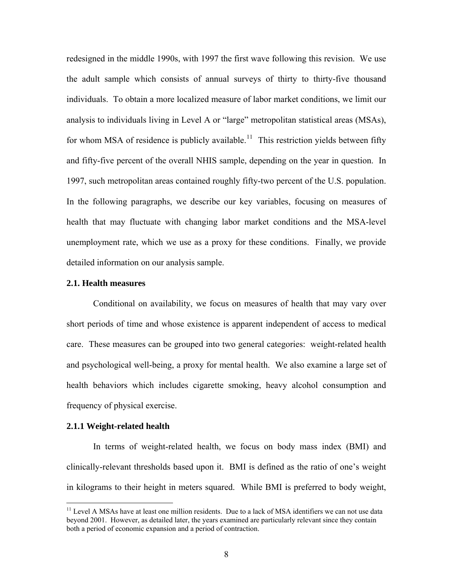redesigned in the middle 1990s, with 1997 the first wave following this revision. We use the adult sample which consists of annual surveys of thirty to thirty-five thousand individuals. To obtain a more localized measure of labor market conditions, we limit our analysis to individuals living in Level A or "large" metropolitan statistical areas (MSAs), for whom MSA of residence is publicly available.<sup>[11](#page-8-0)</sup> This restriction yields between fifty and fifty-five percent of the overall NHIS sample, depending on the year in question. In 1997, such metropolitan areas contained roughly fifty-two percent of the U.S. population. In the following paragraphs, we describe our key variables, focusing on measures of health that may fluctuate with changing labor market conditions and the MSA-level unemployment rate, which we use as a proxy for these conditions. Finally, we provide detailed information on our analysis sample.

## **2.1. Health measures**

Conditional on availability, we focus on measures of health that may vary over short periods of time and whose existence is apparent independent of access to medical care. These measures can be grouped into two general categories: weight-related health and psychological well-being, a proxy for mental health. We also examine a large set of health behaviors which includes cigarette smoking, heavy alcohol consumption and frequency of physical exercise.

## **2.1.1 Weight-related health**

 $\overline{a}$ 

In terms of weight-related health, we focus on body mass index (BMI) and clinically-relevant thresholds based upon it. BMI is defined as the ratio of one's weight in kilograms to their height in meters squared. While BMI is preferred to body weight,

<span id="page-8-0"></span> $11$  Level A MSAs have at least one million residents. Due to a lack of MSA identifiers we can not use data beyond 2001. However, as detailed later, the years examined are particularly relevant since they contain both a period of economic expansion and a period of contraction.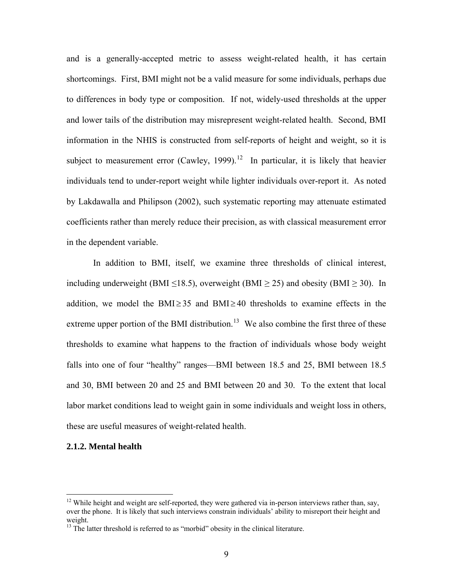and is a generally-accepted metric to assess weight-related health, it has certain shortcomings. First, BMI might not be a valid measure for some individuals, perhaps due to differences in body type or composition. If not, widely-used thresholds at the upper and lower tails of the distribution may misrepresent weight-related health. Second, BMI information in the NHIS is constructed from self-reports of height and weight, so it is subject to measurement error (Cawley, 1999).<sup>[12](#page-9-0)</sup> In particular, it is likely that heavier individuals tend to under-report weight while lighter individuals over-report it. As noted by Lakdawalla and Philipson (2002), such systematic reporting may attenuate estimated coefficients rather than merely reduce their precision, as with classical measurement error in the dependent variable.

In addition to BMI, itself, we examine three thresholds of clinical interest, including underweight (BMI  $\leq$ 18.5), overweight (BMI  $\geq$  25) and obesity (BMI  $\geq$  30). In addition, we model the BMI $\geq$ 35 and BMI $\geq$ 40 thresholds to examine effects in the extreme upper portion of the BMI distribution.<sup>[13](#page-9-1)</sup> We also combine the first three of these thresholds to examine what happens to the fraction of individuals whose body weight falls into one of four "healthy" ranges—BMI between 18.5 and 25, BMI between 18.5 and 30, BMI between 20 and 25 and BMI between 20 and 30. To the extent that local labor market conditions lead to weight gain in some individuals and weight loss in others, these are useful measures of weight-related health.

### **2.1.2. Mental health**

<span id="page-9-0"></span> $12$  While height and weight are self-reported, they were gathered via in-person interviews rather than, say, over the phone. It is likely that such interviews constrain individuals' ability to misreport their height and weight.

<span id="page-9-1"></span><sup>&</sup>lt;sup>13</sup> The latter threshold is referred to as "morbid" obesity in the clinical literature.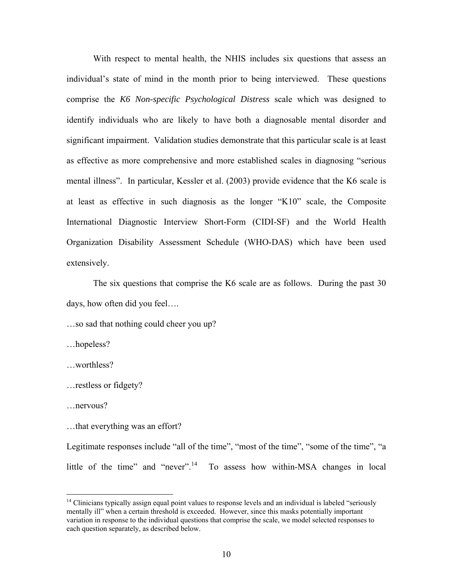With respect to mental health, the NHIS includes six questions that assess an individual's state of mind in the month prior to being interviewed. These questions comprise the *K6 Non-specific Psychological Distress* scale which was designed to identify individuals who are likely to have both a diagnosable mental disorder and significant impairment. Validation studies demonstrate that this particular scale is at least as effective as more comprehensive and more established scales in diagnosing "serious mental illness". In particular, Kessler et al. (2003) provide evidence that the K6 scale is at least as effective in such diagnosis as the longer "K10" scale, the Composite International Diagnostic Interview Short-Form (CIDI-SF) and the World Health Organization Disability Assessment Schedule (WHO-DAS) which have been used extensively.

The six questions that comprise the K6 scale are as follows. During the past 30 days, how often did you feel….

…so sad that nothing could cheer you up?

…hopeless?

…worthless?

```
…restless or fidgety?
```
…nervous?

 $\overline{a}$ 

…that everything was an effort?

Legitimate responses include "all of the time", "most of the time", "some of the time", "a little of the time" and "never".<sup>[14](#page-10-0)</sup> To assess how within-MSA changes in local

<span id="page-10-0"></span> $14$  Clinicians typically assign equal point values to response levels and an individual is labeled "seriously mentally ill" when a certain threshold is exceeded. However, since this masks potentially important variation in response to the individual questions that comprise the scale, we model selected responses to each question separately, as described below.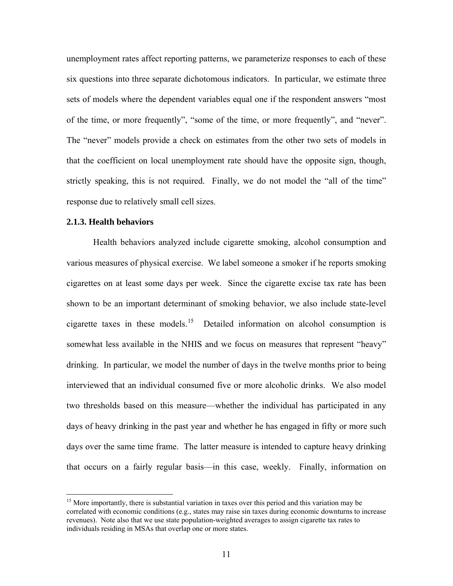unemployment rates affect reporting patterns, we parameterize responses to each of these six questions into three separate dichotomous indicators. In particular, we estimate three sets of models where the dependent variables equal one if the respondent answers "most of the time, or more frequently", "some of the time, or more frequently", and "never". The "never" models provide a check on estimates from the other two sets of models in that the coefficient on local unemployment rate should have the opposite sign, though, strictly speaking, this is not required. Finally, we do not model the "all of the time" response due to relatively small cell sizes.

## **2.1.3. Health behaviors**

 $\overline{a}$ 

Health behaviors analyzed include cigarette smoking, alcohol consumption and various measures of physical exercise. We label someone a smoker if he reports smoking cigarettes on at least some days per week. Since the cigarette excise tax rate has been shown to be an important determinant of smoking behavior, we also include state-level cigarette taxes in these models.<sup>[15](#page-11-0)</sup> Detailed information on alcohol consumption is somewhat less available in the NHIS and we focus on measures that represent "heavy" drinking. In particular, we model the number of days in the twelve months prior to being interviewed that an individual consumed five or more alcoholic drinks. We also model two thresholds based on this measure—whether the individual has participated in any days of heavy drinking in the past year and whether he has engaged in fifty or more such days over the same time frame. The latter measure is intended to capture heavy drinking that occurs on a fairly regular basis—in this case, weekly. Finally, information on

<span id="page-11-0"></span><sup>&</sup>lt;sup>15</sup> More importantly, there is substantial variation in taxes over this period and this variation may be correlated with economic conditions (e.g., states may raise sin taxes during economic downturns to increase revenues). Note also that we use state population-weighted averages to assign cigarette tax rates to individuals residing in MSAs that overlap one or more states.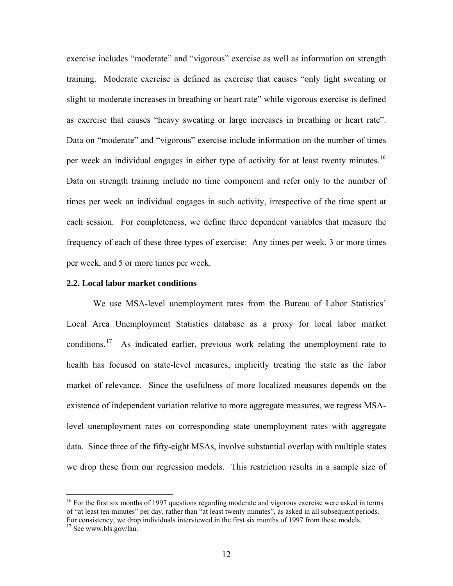exercise includes "moderate" and "vigorous" exercise as well as information on strength training. Moderate exercise is defined as exercise that causes "only light sweating or slight to moderate increases in breathing or heart rate" while vigorous exercise is defined as exercise that causes "heavy sweating or large increases in breathing or heart rate". Data on "moderate" and "vigorous" exercise include information on the number of times per week an individual engages in either type of activity for at least twenty minutes.<sup>16</sup> Data on strength training include no time component and refer only to the number of times per week an individual engages in such activity, irrespective of the time spent at each session. For completeness, we define three dependent variables that measure the frequency of each of these three types of exercise: Any times per week, 3 or more times per week, and 5 or more times per week.

#### **2.2. Local labor market conditions**

We use MSA-level unemployment rates from the Bureau of Labor Statistics' Local Area Unemployment Statistics database as a proxy for local labor market conditions.<sup>[17](#page-12-1)</sup> As indicated earlier, previous work relating the unemployment rate to health has focused on state-level measures, implicitly treating the state as the labor market of relevance. Since the usefulness of more localized measures depends on the existence of independent variation relative to more aggregate measures, we regress MSAlevel unemployment rates on corresponding state unemployment rates with aggregate data. Since three of the fifty-eight MSAs, involve substantial overlap with multiple states we drop these from our regression models. This restriction results in a sample size of

<span id="page-12-0"></span><sup>&</sup>lt;sup>16</sup> For the first six months of 1997 questions regarding moderate and vigorous exercise were asked in terms of "at least ten minutes" per day, rather than "at least twenty minutes", as asked in all subsequent periods. For consistency, we drop individuals interviewed in the first six months of 1997 from these models.

<span id="page-12-1"></span><sup>&</sup>lt;sup>17</sup> See www.bls.gov/lau.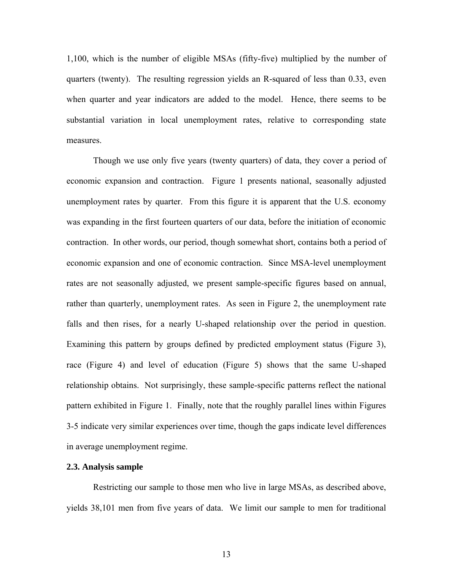1,100, which is the number of eligible MSAs (fifty-five) multiplied by the number of quarters (twenty). The resulting regression yields an R-squared of less than 0.33, even when quarter and year indicators are added to the model. Hence, there seems to be substantial variation in local unemployment rates, relative to corresponding state measures.

Though we use only five years (twenty quarters) of data, they cover a period of economic expansion and contraction. Figure 1 presents national, seasonally adjusted unemployment rates by quarter. From this figure it is apparent that the U.S. economy was expanding in the first fourteen quarters of our data, before the initiation of economic contraction. In other words, our period, though somewhat short, contains both a period of economic expansion and one of economic contraction. Since MSA-level unemployment rates are not seasonally adjusted, we present sample-specific figures based on annual, rather than quarterly, unemployment rates. As seen in Figure 2, the unemployment rate falls and then rises, for a nearly U-shaped relationship over the period in question. Examining this pattern by groups defined by predicted employment status (Figure 3), race (Figure 4) and level of education (Figure 5) shows that the same U-shaped relationship obtains. Not surprisingly, these sample-specific patterns reflect the national pattern exhibited in Figure 1. Finally, note that the roughly parallel lines within Figures 3-5 indicate very similar experiences over time, though the gaps indicate level differences in average unemployment regime.

#### **2.3. Analysis sample**

Restricting our sample to those men who live in large MSAs, as described above, yields 38,101 men from five years of data. We limit our sample to men for traditional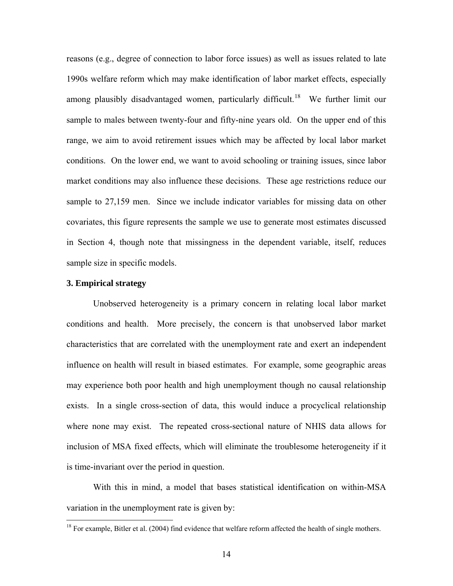reasons (e.g., degree of connection to labor force issues) as well as issues related to late 1990s welfare reform which may make identification of labor market effects, especially among plausibly disadvantaged women, particularly difficult.<sup>[18](#page-14-0)</sup> We further limit our sample to males between twenty-four and fifty-nine years old. On the upper end of this range, we aim to avoid retirement issues which may be affected by local labor market conditions. On the lower end, we want to avoid schooling or training issues, since labor market conditions may also influence these decisions. These age restrictions reduce our sample to 27,159 men. Since we include indicator variables for missing data on other covariates, this figure represents the sample we use to generate most estimates discussed in Section 4, though note that missingness in the dependent variable, itself, reduces sample size in specific models.

# **3. Empirical strategy**

 $\overline{a}$ 

Unobserved heterogeneity is a primary concern in relating local labor market conditions and health. More precisely, the concern is that unobserved labor market characteristics that are correlated with the unemployment rate and exert an independent influence on health will result in biased estimates. For example, some geographic areas may experience both poor health and high unemployment though no causal relationship exists. In a single cross-section of data, this would induce a procyclical relationship where none may exist. The repeated cross-sectional nature of NHIS data allows for inclusion of MSA fixed effects, which will eliminate the troublesome heterogeneity if it is time-invariant over the period in question.

With this in mind, a model that bases statistical identification on within-MSA variation in the unemployment rate is given by:

<span id="page-14-0"></span> $18$  For example, Bitler et al. (2004) find evidence that welfare reform affected the health of single mothers.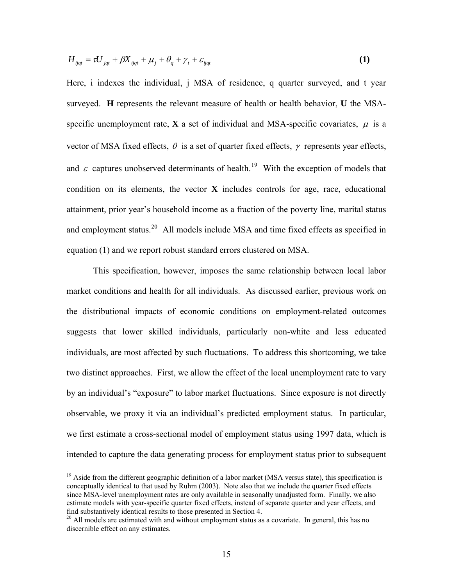$$
H_{ijqt} = \tau U_{jqt} + \beta X_{ijqt} + \mu_j + \theta_q + \gamma_t + \varepsilon_{ijqt}
$$
 (1)

Here, i indexes the individual, j MSA of residence, q quarter surveyed, and t year surveyed. **H** represents the relevant measure of health or health behavior, **U** the MSAspecific unemployment rate, **X** a set of individual and MSA-specific covariates,  $\mu$  is a vector of MSA fixed effects,  $\theta$  is a set of quarter fixed effects,  $\gamma$  represents year effects, and  $\varepsilon$  captures unobserved determinants of health.<sup>[19](#page-15-0)</sup> With the exception of models that condition on its elements, the vector **X** includes controls for age, race, educational attainment, prior year's household income as a fraction of the poverty line, marital status and employment status.<sup>[20](#page-15-1)</sup> All models include MSA and time fixed effects as specified in equation (1) and we report robust standard errors clustered on MSA.

This specification, however, imposes the same relationship between local labor market conditions and health for all individuals. As discussed earlier, previous work on the distributional impacts of economic conditions on employment-related outcomes suggests that lower skilled individuals, particularly non-white and less educated individuals, are most affected by such fluctuations. To address this shortcoming, we take two distinct approaches. First, we allow the effect of the local unemployment rate to vary by an individual's "exposure" to labor market fluctuations. Since exposure is not directly observable, we proxy it via an individual's predicted employment status. In particular, we first estimate a cross-sectional model of employment status using 1997 data, which is intended to capture the data generating process for employment status prior to subsequent

<span id="page-15-0"></span><sup>&</sup>lt;sup>19</sup> Aside from the different geographic definition of a labor market (MSA versus state), this specification is conceptually identical to that used by Ruhm (2003). Note also that we include the quarter fixed effects since MSA-level unemployment rates are only available in seasonally unadjusted form. Finally, we also estimate models with year-specific quarter fixed effects, instead of separate quarter and year effects, and find substantively identical results to those presented in Section 4.

<span id="page-15-1"></span><sup>&</sup>lt;sup>20</sup> All models are estimated with and without employment status as a covariate. In general, this has no discernible effect on any estimates.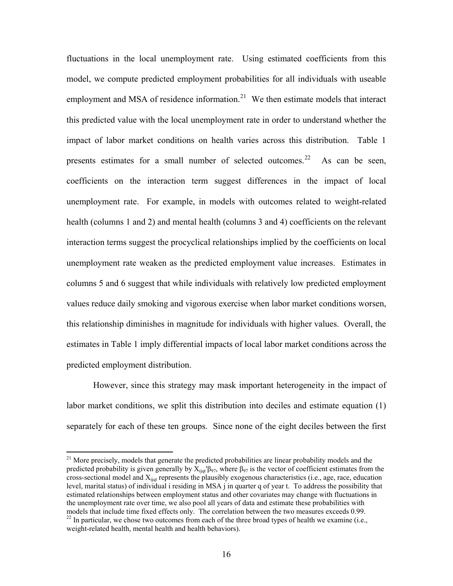fluctuations in the local unemployment rate. Using estimated coefficients from this model, we compute predicted employment probabilities for all individuals with useable employment and MSA of residence information. $21$  We then estimate models that interact this predicted value with the local unemployment rate in order to understand whether the impact of labor market conditions on health varies across this distribution. Table 1 presents estimates for a small number of selected outcomes.<sup>[22](#page-16-1)</sup> As can be seen, coefficients on the interaction term suggest differences in the impact of local unemployment rate. For example, in models with outcomes related to weight-related health (columns 1 and 2) and mental health (columns 3 and 4) coefficients on the relevant interaction terms suggest the procyclical relationships implied by the coefficients on local unemployment rate weaken as the predicted employment value increases. Estimates in columns 5 and 6 suggest that while individuals with relatively low predicted employment values reduce daily smoking and vigorous exercise when labor market conditions worsen, this relationship diminishes in magnitude for individuals with higher values. Overall, the estimates in Table 1 imply differential impacts of local labor market conditions across the predicted employment distribution.

However, since this strategy may mask important heterogeneity in the impact of labor market conditions, we split this distribution into deciles and estimate equation (1) separately for each of these ten groups. Since none of the eight deciles between the first

<span id="page-16-1"></span><span id="page-16-0"></span> $21$  More precisely, models that generate the predicted probabilities are linear probability models and the predicted probability is given generally by  $X_{ijqt}$ ′β<sub>97</sub>, where β<sub>97</sub> is the vector of coefficient estimates from the cross-sectional model and  $X_{\text{iid}}$  represents the plausibly exogenous characteristics (i.e., age, race, education level, marital status) of individual i residing in MSA j in quarter q of year t. To address the possibility that estimated relationships between employment status and other covariates may change with fluctuations in the unemployment rate over time, we also pool all years of data and estimate these probabilities with models that include time fixed effects only. The correlation between the two measures exceeds 0.99.  $^{22}$  In particular, we chose two outcomes from each of the three broad types of health we examine (i.e., weight-related health, mental health and health behaviors).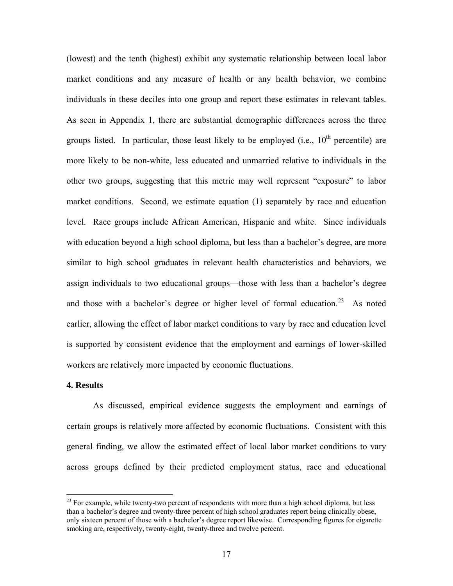(lowest) and the tenth (highest) exhibit any systematic relationship between local labor market conditions and any measure of health or any health behavior, we combine individuals in these deciles into one group and report these estimates in relevant tables. As seen in Appendix 1, there are substantial demographic differences across the three groups listed. In particular, those least likely to be employed (i.e.,  $10^{th}$  percentile) are more likely to be non-white, less educated and unmarried relative to individuals in the other two groups, suggesting that this metric may well represent "exposure" to labor market conditions. Second, we estimate equation (1) separately by race and education level. Race groups include African American, Hispanic and white. Since individuals with education beyond a high school diploma, but less than a bachelor's degree, are more similar to high school graduates in relevant health characteristics and behaviors, we assign individuals to two educational groups—those with less than a bachelor's degree and those with a bachelor's degree or higher level of formal education.<sup>[23](#page-17-0)</sup> As noted earlier, allowing the effect of labor market conditions to vary by race and education level is supported by consistent evidence that the employment and earnings of lower-skilled workers are relatively more impacted by economic fluctuations.

## **4. Results**

 $\overline{a}$ 

As discussed, empirical evidence suggests the employment and earnings of certain groups is relatively more affected by economic fluctuations. Consistent with this general finding, we allow the estimated effect of local labor market conditions to vary across groups defined by their predicted employment status, race and educational

<span id="page-17-0"></span> $^{23}$  For example, while twenty-two percent of respondents with more than a high school diploma, but less than a bachelor's degree and twenty-three percent of high school graduates report being clinically obese, only sixteen percent of those with a bachelor's degree report likewise. Corresponding figures for cigarette smoking are, respectively, twenty-eight, twenty-three and twelve percent.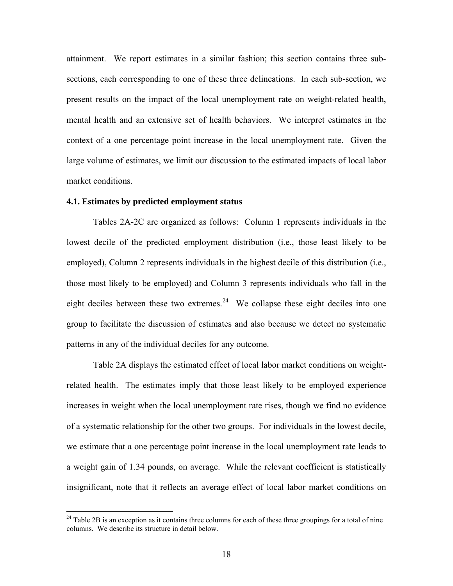attainment. We report estimates in a similar fashion; this section contains three subsections, each corresponding to one of these three delineations. In each sub-section, we present results on the impact of the local unemployment rate on weight-related health, mental health and an extensive set of health behaviors. We interpret estimates in the context of a one percentage point increase in the local unemployment rate. Given the large volume of estimates, we limit our discussion to the estimated impacts of local labor market conditions.

## **4.1. Estimates by predicted employment status**

 $\overline{a}$ 

Tables 2A-2C are organized as follows: Column 1 represents individuals in the lowest decile of the predicted employment distribution (i.e., those least likely to be employed), Column 2 represents individuals in the highest decile of this distribution (i.e., those most likely to be employed) and Column 3 represents individuals who fall in the eight deciles between these two extremes.<sup>[24](#page-18-0)</sup> We collapse these eight deciles into one group to facilitate the discussion of estimates and also because we detect no systematic patterns in any of the individual deciles for any outcome.

Table 2A displays the estimated effect of local labor market conditions on weightrelated health. The estimates imply that those least likely to be employed experience increases in weight when the local unemployment rate rises, though we find no evidence of a systematic relationship for the other two groups. For individuals in the lowest decile, we estimate that a one percentage point increase in the local unemployment rate leads to a weight gain of 1.34 pounds, on average. While the relevant coefficient is statistically insignificant, note that it reflects an average effect of local labor market conditions on

<span id="page-18-0"></span> $24$  Table 2B is an exception as it contains three columns for each of these three groupings for a total of nine columns. We describe its structure in detail below.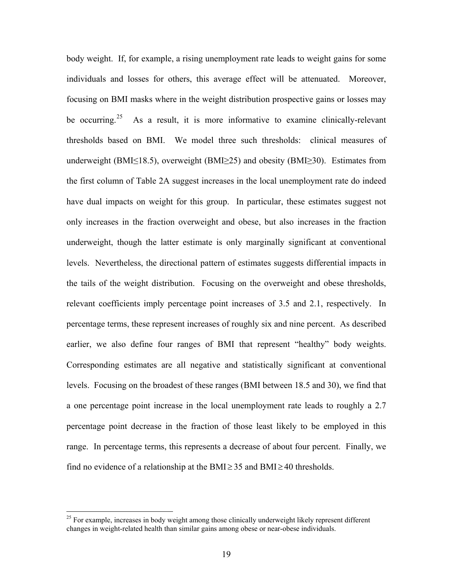body weight. If, for example, a rising unemployment rate leads to weight gains for some individuals and losses for others, this average effect will be attenuated. Moreover, focusing on BMI masks where in the weight distribution prospective gains or losses may be occurring.<sup>[25](#page-19-0)</sup> As a result, it is more informative to examine clinically-relevant thresholds based on BMI. We model three such thresholds: clinical measures of underweight (BMI≤18.5), overweight (BMI≥25) and obesity (BMI≥30). Estimates from the first column of Table 2A suggest increases in the local unemployment rate do indeed have dual impacts on weight for this group. In particular, these estimates suggest not only increases in the fraction overweight and obese, but also increases in the fraction underweight, though the latter estimate is only marginally significant at conventional levels. Nevertheless, the directional pattern of estimates suggests differential impacts in the tails of the weight distribution. Focusing on the overweight and obese thresholds, relevant coefficients imply percentage point increases of 3.5 and 2.1, respectively. In percentage terms, these represent increases of roughly six and nine percent. As described earlier, we also define four ranges of BMI that represent "healthy" body weights. Corresponding estimates are all negative and statistically significant at conventional levels. Focusing on the broadest of these ranges (BMI between 18.5 and 30), we find that a one percentage point increase in the local unemployment rate leads to roughly a 2.7 percentage point decrease in the fraction of those least likely to be employed in this range. In percentage terms, this represents a decrease of about four percent. Finally, we find no evidence of a relationship at the BMI $\geq$  35 and BMI $\geq$  40 thresholds.

<span id="page-19-0"></span><sup>&</sup>lt;sup>25</sup> For example, increases in body weight among those clinically underweight likely represent different changes in weight-related health than similar gains among obese or near-obese individuals.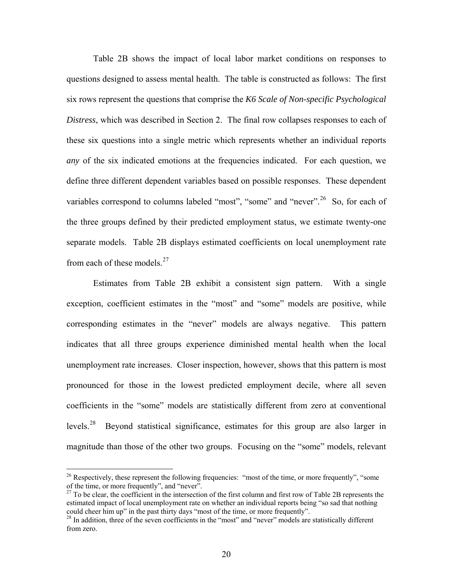Table 2B shows the impact of local labor market conditions on responses to questions designed to assess mental health. The table is constructed as follows: The first six rows represent the questions that comprise the *K6 Scale of Non-specific Psychological Distress*, which was described in Section 2. The final row collapses responses to each of these six questions into a single metric which represents whether an individual reports *any* of the six indicated emotions at the frequencies indicated. For each question, we define three different dependent variables based on possible responses. These dependent variables correspond to columns labeled "most", "some" and "never". <sup>[26](#page-20-0)</sup> So, for each of the three groups defined by their predicted employment status, we estimate twenty-one separate models. Table 2B displays estimated coefficients on local unemployment rate from each of these models.<sup>[27](#page-20-1)</sup>

Estimates from Table 2B exhibit a consistent sign pattern. With a single exception, coefficient estimates in the "most" and "some" models are positive, while corresponding estimates in the "never" models are always negative. This pattern indicates that all three groups experience diminished mental health when the local unemployment rate increases. Closer inspection, however, shows that this pattern is most pronounced for those in the lowest predicted employment decile, where all seven coefficients in the "some" models are statistically different from zero at conventional levels.<sup>[28](#page-20-2)</sup> Beyond statistical significance, estimates for this group are also larger in magnitude than those of the other two groups. Focusing on the "some" models, relevant

<span id="page-20-0"></span><sup>&</sup>lt;sup>26</sup> Respectively, these represent the following frequencies: "most of the time, or more frequently", "some of the time, or more frequently", and "never".

<span id="page-20-1"></span> $27$  To be clear, the coefficient in the intersection of the first column and first row of Table 2B represents the estimated impact of local unemployment rate on whether an individual reports being "so sad that nothing could cheer him up" in the past thirty days "most of the time, or more frequently".

<span id="page-20-2"></span><sup>&</sup>lt;sup>28</sup> In addition, three of the seven coefficients in the "most" and "never" models are statistically different from zero.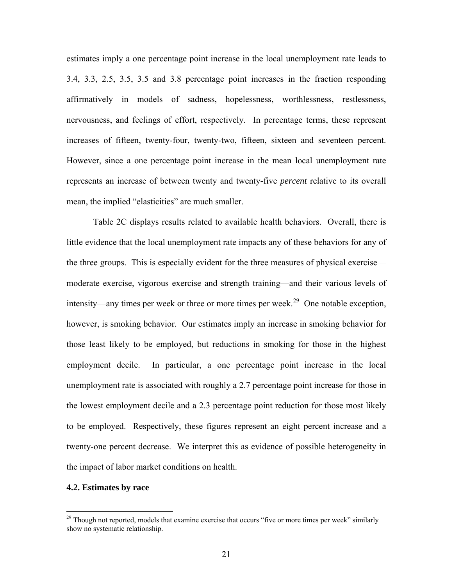estimates imply a one percentage point increase in the local unemployment rate leads to 3.4, 3.3, 2.5, 3.5, 3.5 and 3.8 percentage point increases in the fraction responding affirmatively in models of sadness, hopelessness, worthlessness, restlessness, nervousness, and feelings of effort, respectively. In percentage terms, these represent increases of fifteen, twenty-four, twenty-two, fifteen, sixteen and seventeen percent. However, since a one percentage point increase in the mean local unemployment rate represents an increase of between twenty and twenty-five *percent* relative to its overall mean, the implied "elasticities" are much smaller.

Table 2C displays results related to available health behaviors. Overall, there is little evidence that the local unemployment rate impacts any of these behaviors for any of the three groups. This is especially evident for the three measures of physical exercise moderate exercise, vigorous exercise and strength training—and their various levels of intensity—any times per week or three or more times per week.<sup>[29](#page-21-0)</sup> One notable exception, however, is smoking behavior. Our estimates imply an increase in smoking behavior for those least likely to be employed, but reductions in smoking for those in the highest employment decile. In particular, a one percentage point increase in the local unemployment rate is associated with roughly a 2.7 percentage point increase for those in the lowest employment decile and a 2.3 percentage point reduction for those most likely to be employed. Respectively, these figures represent an eight percent increase and a twenty-one percent decrease. We interpret this as evidence of possible heterogeneity in the impact of labor market conditions on health.

# **4.2. Estimates by race**

<span id="page-21-0"></span><sup>&</sup>lt;sup>29</sup> Though not reported, models that examine exercise that occurs "five or more times per week" similarly show no systematic relationship.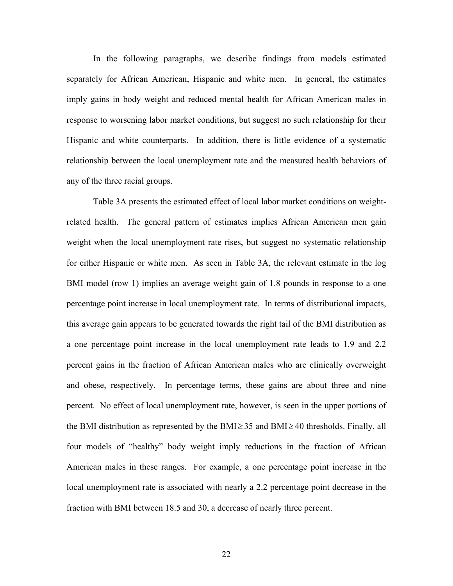In the following paragraphs, we describe findings from models estimated separately for African American, Hispanic and white men. In general, the estimates imply gains in body weight and reduced mental health for African American males in response to worsening labor market conditions, but suggest no such relationship for their Hispanic and white counterparts. In addition, there is little evidence of a systematic relationship between the local unemployment rate and the measured health behaviors of any of the three racial groups.

Table 3A presents the estimated effect of local labor market conditions on weightrelated health. The general pattern of estimates implies African American men gain weight when the local unemployment rate rises, but suggest no systematic relationship for either Hispanic or white men. As seen in Table 3A, the relevant estimate in the log BMI model (row 1) implies an average weight gain of 1.8 pounds in response to a one percentage point increase in local unemployment rate. In terms of distributional impacts, this average gain appears to be generated towards the right tail of the BMI distribution as a one percentage point increase in the local unemployment rate leads to 1.9 and 2.2 percent gains in the fraction of African American males who are clinically overweight and obese, respectively. In percentage terms, these gains are about three and nine percent. No effect of local unemployment rate, however, is seen in the upper portions of the BMI distribution as represented by the BMI $\geq$  35 and BMI $\geq$  40 thresholds. Finally, all four models of "healthy" body weight imply reductions in the fraction of African American males in these ranges. For example, a one percentage point increase in the local unemployment rate is associated with nearly a 2.2 percentage point decrease in the fraction with BMI between 18.5 and 30, a decrease of nearly three percent.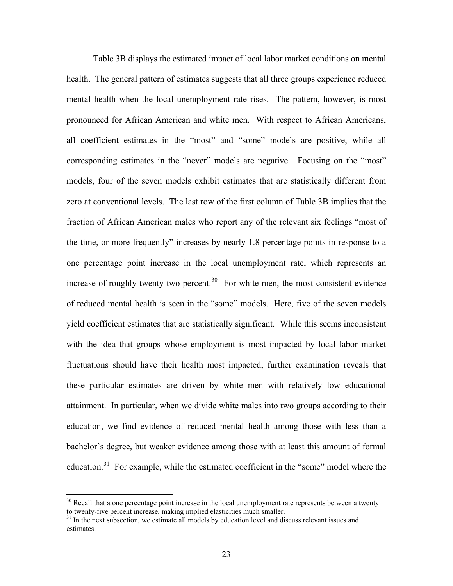Table 3B displays the estimated impact of local labor market conditions on mental health. The general pattern of estimates suggests that all three groups experience reduced mental health when the local unemployment rate rises. The pattern, however, is most pronounced for African American and white men. With respect to African Americans, all coefficient estimates in the "most" and "some" models are positive, while all corresponding estimates in the "never" models are negative. Focusing on the "most" models, four of the seven models exhibit estimates that are statistically different from zero at conventional levels. The last row of the first column of Table 3B implies that the fraction of African American males who report any of the relevant six feelings "most of the time, or more frequently" increases by nearly 1.8 percentage points in response to a one percentage point increase in the local unemployment rate, which represents an increase of roughly twenty-two percent.<sup>[30](#page-23-0)</sup> For white men, the most consistent evidence of reduced mental health is seen in the "some" models. Here, five of the seven models yield coefficient estimates that are statistically significant. While this seems inconsistent with the idea that groups whose employment is most impacted by local labor market fluctuations should have their health most impacted, further examination reveals that these particular estimates are driven by white men with relatively low educational attainment. In particular, when we divide white males into two groups according to their education, we find evidence of reduced mental health among those with less than a bachelor's degree, but weaker evidence among those with at least this amount of formal education.<sup>[31](#page-23-1)</sup> For example, while the estimated coefficient in the "some" model where the

<span id="page-23-0"></span> $30$  Recall that a one percentage point increase in the local unemployment rate represents between a twenty to twenty-five percent increase, making implied elasticities much smaller.

<span id="page-23-1"></span> $31$  In the next subsection, we estimate all models by education level and discuss relevant issues and estimates.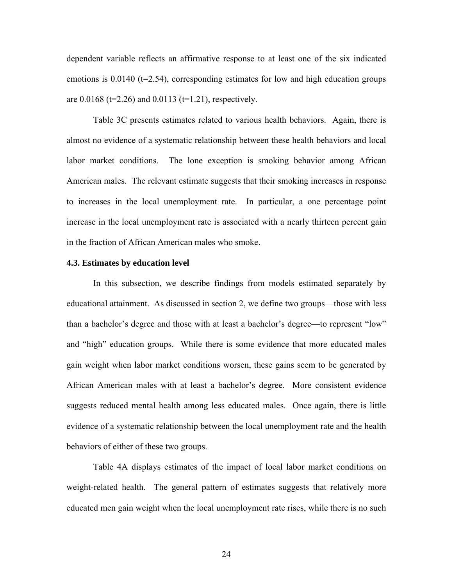dependent variable reflects an affirmative response to at least one of the six indicated emotions is  $0.0140$  (t=2.54), corresponding estimates for low and high education groups are  $0.0168$  (t=2.26) and  $0.0113$  (t=1.21), respectively.

Table 3C presents estimates related to various health behaviors. Again, there is almost no evidence of a systematic relationship between these health behaviors and local labor market conditions. The lone exception is smoking behavior among African American males. The relevant estimate suggests that their smoking increases in response to increases in the local unemployment rate. In particular, a one percentage point increase in the local unemployment rate is associated with a nearly thirteen percent gain in the fraction of African American males who smoke.

#### **4.3. Estimates by education level**

In this subsection, we describe findings from models estimated separately by educational attainment. As discussed in section 2, we define two groups—those with less than a bachelor's degree and those with at least a bachelor's degree—to represent "low" and "high" education groups. While there is some evidence that more educated males gain weight when labor market conditions worsen, these gains seem to be generated by African American males with at least a bachelor's degree. More consistent evidence suggests reduced mental health among less educated males. Once again, there is little evidence of a systematic relationship between the local unemployment rate and the health behaviors of either of these two groups.

Table 4A displays estimates of the impact of local labor market conditions on weight-related health. The general pattern of estimates suggests that relatively more educated men gain weight when the local unemployment rate rises, while there is no such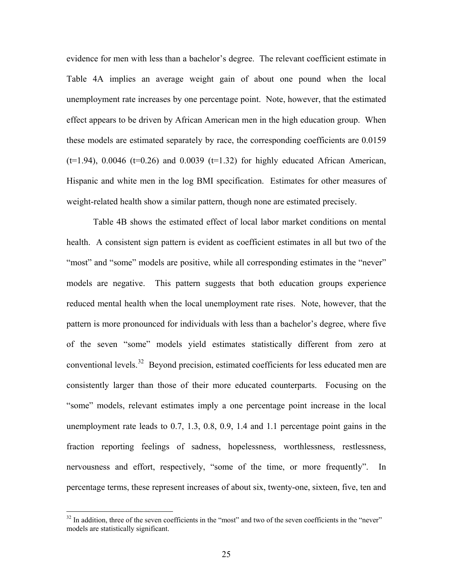evidence for men with less than a bachelor's degree. The relevant coefficient estimate in Table 4A implies an average weight gain of about one pound when the local unemployment rate increases by one percentage point. Note, however, that the estimated effect appears to be driven by African American men in the high education group. When these models are estimated separately by race, the corresponding coefficients are 0.0159  $(t=1.94)$ , 0.0046  $(t=0.26)$  and 0.0039  $(t=1.32)$  for highly educated African American, Hispanic and white men in the log BMI specification. Estimates for other measures of weight-related health show a similar pattern, though none are estimated precisely.

Table 4B shows the estimated effect of local labor market conditions on mental health. A consistent sign pattern is evident as coefficient estimates in all but two of the "most" and "some" models are positive, while all corresponding estimates in the "never" models are negative. This pattern suggests that both education groups experience reduced mental health when the local unemployment rate rises. Note, however, that the pattern is more pronounced for individuals with less than a bachelor's degree, where five of the seven "some" models yield estimates statistically different from zero at conventional levels.[32](#page-25-0) Beyond precision, estimated coefficients for less educated men are consistently larger than those of their more educated counterparts. Focusing on the "some" models, relevant estimates imply a one percentage point increase in the local unemployment rate leads to 0.7, 1.3, 0.8, 0.9, 1.4 and 1.1 percentage point gains in the fraction reporting feelings of sadness, hopelessness, worthlessness, restlessness, nervousness and effort, respectively, "some of the time, or more frequently". In percentage terms, these represent increases of about six, twenty-one, sixteen, five, ten and

<span id="page-25-0"></span><sup>&</sup>lt;sup>32</sup> In addition, three of the seven coefficients in the "most" and two of the seven coefficients in the "never" models are statistically significant.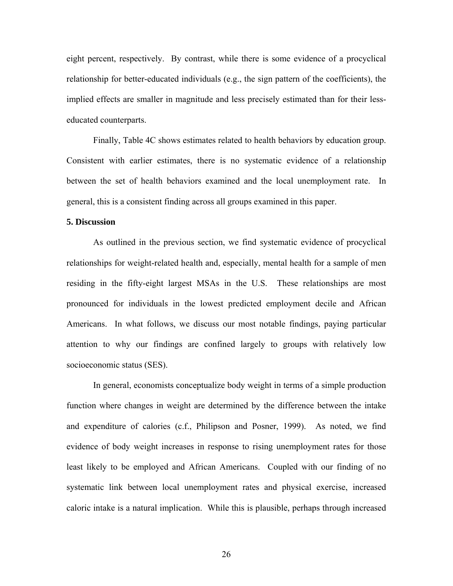eight percent, respectively. By contrast, while there is some evidence of a procyclical relationship for better-educated individuals (e.g., the sign pattern of the coefficients), the implied effects are smaller in magnitude and less precisely estimated than for their lesseducated counterparts.

Finally, Table 4C shows estimates related to health behaviors by education group. Consistent with earlier estimates, there is no systematic evidence of a relationship between the set of health behaviors examined and the local unemployment rate. In general, this is a consistent finding across all groups examined in this paper.

#### **5. Discussion**

As outlined in the previous section, we find systematic evidence of procyclical relationships for weight-related health and, especially, mental health for a sample of men residing in the fifty-eight largest MSAs in the U.S. These relationships are most pronounced for individuals in the lowest predicted employment decile and African Americans. In what follows, we discuss our most notable findings, paying particular attention to why our findings are confined largely to groups with relatively low socioeconomic status (SES).

In general, economists conceptualize body weight in terms of a simple production function where changes in weight are determined by the difference between the intake and expenditure of calories (c.f., Philipson and Posner, 1999). As noted, we find evidence of body weight increases in response to rising unemployment rates for those least likely to be employed and African Americans. Coupled with our finding of no systematic link between local unemployment rates and physical exercise, increased caloric intake is a natural implication. While this is plausible, perhaps through increased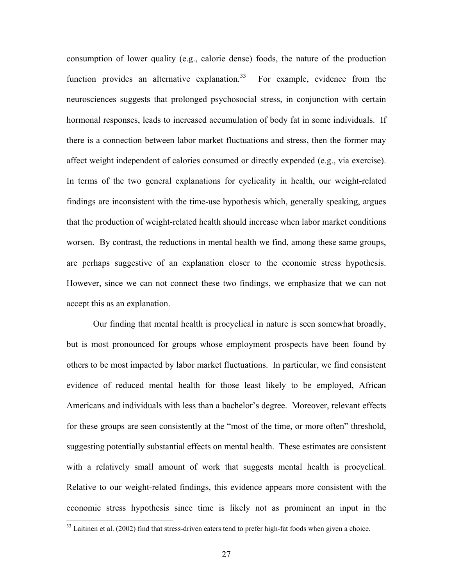consumption of lower quality (e.g., calorie dense) foods, the nature of the production function provides an alternative explanation.<sup>[33](#page-27-0)</sup> For example, evidence from the neurosciences suggests that prolonged psychosocial stress, in conjunction with certain hormonal responses, leads to increased accumulation of body fat in some individuals. If there is a connection between labor market fluctuations and stress, then the former may affect weight independent of calories consumed or directly expended (e.g., via exercise). In terms of the two general explanations for cyclicality in health, our weight-related findings are inconsistent with the time-use hypothesis which, generally speaking, argues that the production of weight-related health should increase when labor market conditions worsen. By contrast, the reductions in mental health we find, among these same groups, are perhaps suggestive of an explanation closer to the economic stress hypothesis. However, since we can not connect these two findings, we emphasize that we can not accept this as an explanation.

Our finding that mental health is procyclical in nature is seen somewhat broadly, but is most pronounced for groups whose employment prospects have been found by others to be most impacted by labor market fluctuations. In particular, we find consistent evidence of reduced mental health for those least likely to be employed, African Americans and individuals with less than a bachelor's degree. Moreover, relevant effects for these groups are seen consistently at the "most of the time, or more often" threshold, suggesting potentially substantial effects on mental health. These estimates are consistent with a relatively small amount of work that suggests mental health is procyclical. Relative to our weight-related findings, this evidence appears more consistent with the economic stress hypothesis since time is likely not as prominent an input in the

<span id="page-27-0"></span> $33$  Laitinen et al. (2002) find that stress-driven eaters tend to prefer high-fat foods when given a choice.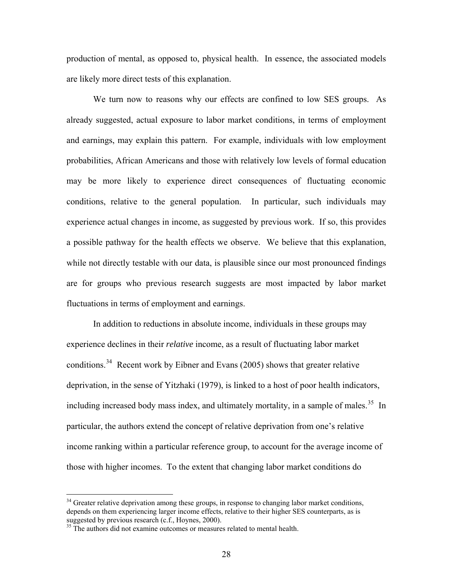production of mental, as opposed to, physical health. In essence, the associated models are likely more direct tests of this explanation.

We turn now to reasons why our effects are confined to low SES groups. As already suggested, actual exposure to labor market conditions, in terms of employment and earnings, may explain this pattern. For example, individuals with low employment probabilities, African Americans and those with relatively low levels of formal education may be more likely to experience direct consequences of fluctuating economic conditions, relative to the general population. In particular, such individuals may experience actual changes in income, as suggested by previous work. If so, this provides a possible pathway for the health effects we observe. We believe that this explanation, while not directly testable with our data, is plausible since our most pronounced findings are for groups who previous research suggests are most impacted by labor market fluctuations in terms of employment and earnings.

In addition to reductions in absolute income, individuals in these groups may experience declines in their *relative* income, as a result of fluctuating labor market conditions.[34](#page-28-0) Recent work by Eibner and Evans (2005) shows that greater relative deprivation, in the sense of Yitzhaki (1979), is linked to a host of poor health indicators, including increased body mass index, and ultimately mortality, in a sample of males.<sup>[35](#page-28-1)</sup> In particular, the authors extend the concept of relative deprivation from one's relative income ranking within a particular reference group, to account for the average income of those with higher incomes. To the extent that changing labor market conditions do

<span id="page-28-0"></span> $34$  Greater relative deprivation among these groups, in response to changing labor market conditions, depends on them experiencing larger income effects, relative to their higher SES counterparts, as is suggested by previous research (c.f., Hoynes, 2000).

<span id="page-28-1"></span><sup>&</sup>lt;sup>35</sup> The authors did not examine outcomes or measures related to mental health.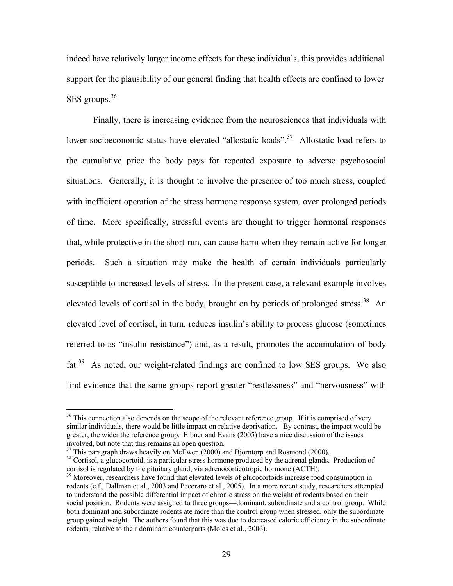indeed have relatively larger income effects for these individuals, this provides additional support for the plausibility of our general finding that health effects are confined to lower SES groups.<sup>[36](#page-29-0)</sup>

Finally, there is increasing evidence from the neurosciences that individuals with lower socioeconomic status have elevated "allostatic loads".<sup>[37](#page-29-1)</sup> Allostatic load refers to the cumulative price the body pays for repeated exposure to adverse psychosocial situations. Generally, it is thought to involve the presence of too much stress, coupled with inefficient operation of the stress hormone response system, over prolonged periods of time. More specifically, stressful events are thought to trigger hormonal responses that, while protective in the short-run, can cause harm when they remain active for longer periods. Such a situation may make the health of certain individuals particularly susceptible to increased levels of stress. In the present case, a relevant example involves elevated levels of cortisol in the body, brought on by periods of prolonged stress.<sup>[38](#page-29-2)</sup> An elevated level of cortisol, in turn, reduces insulin's ability to process glucose (sometimes referred to as "insulin resistance") and, as a result, promotes the accumulation of body fat.[39](#page-29-3) As noted, our weight-related findings are confined to low SES groups. We also find evidence that the same groups report greater "restlessness" and "nervousness" with

<span id="page-29-0"></span><sup>&</sup>lt;sup>36</sup> This connection also depends on the scope of the relevant reference group. If it is comprised of very similar individuals, there would be little impact on relative deprivation. By contrast, the impact would be greater, the wider the reference group. Eibner and Evans (2005) have a nice discussion of the issues involved, but note that this remains an open question.

 $37$  This paragraph draws heavily on McEwen (2000) and Bjorntorp and Rosmond (2000).

<span id="page-29-2"></span><span id="page-29-1"></span><sup>&</sup>lt;sup>38</sup> Cortisol, a glucocortoid, is a particular stress hormone produced by the adrenal glands. Production of cortisol is regulated by the pituitary gland, via adrenocorticotropic hormone (ACTH).

<span id="page-29-3"></span><sup>&</sup>lt;sup>39</sup> Moreover, researchers have found that elevated levels of glucocortoids increase food consumption in rodents (c.f., Dallman et al., 2003 and Pecoraro et al., 2005). In a more recent study, researchers attempted to understand the possible differential impact of chronic stress on the weight of rodents based on their social position. Rodents were assigned to three groups—dominant, subordinate and a control group. While both dominant and subordinate rodents ate more than the control group when stressed, only the subordinate group gained weight. The authors found that this was due to decreased caloric efficiency in the subordinate rodents, relative to their dominant counterparts (Moles et al., 2006).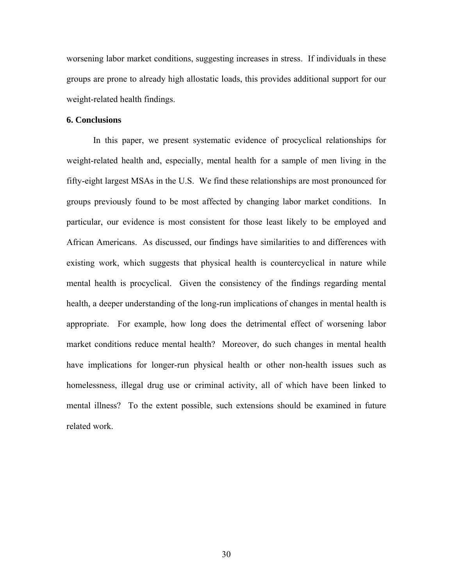worsening labor market conditions, suggesting increases in stress. If individuals in these groups are prone to already high allostatic loads, this provides additional support for our weight-related health findings.

#### **6. Conclusions**

 In this paper, we present systematic evidence of procyclical relationships for weight-related health and, especially, mental health for a sample of men living in the fifty-eight largest MSAs in the U.S. We find these relationships are most pronounced for groups previously found to be most affected by changing labor market conditions. In particular, our evidence is most consistent for those least likely to be employed and African Americans. As discussed, our findings have similarities to and differences with existing work, which suggests that physical health is countercyclical in nature while mental health is procyclical. Given the consistency of the findings regarding mental health, a deeper understanding of the long-run implications of changes in mental health is appropriate. For example, how long does the detrimental effect of worsening labor market conditions reduce mental health? Moreover, do such changes in mental health have implications for longer-run physical health or other non-health issues such as homelessness, illegal drug use or criminal activity, all of which have been linked to mental illness? To the extent possible, such extensions should be examined in future related work.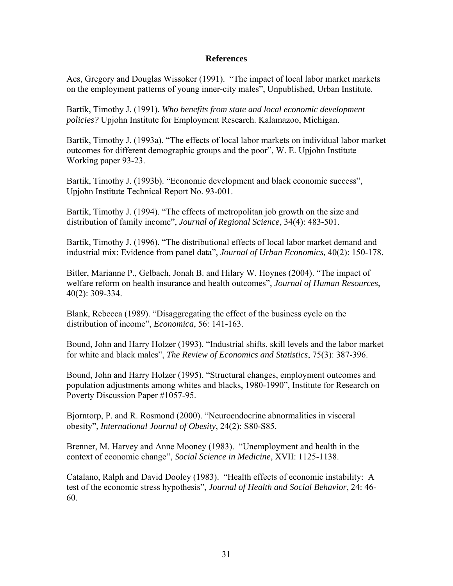# **References**

Acs, Gregory and Douglas Wissoker (1991). "The impact of local labor market markets on the employment patterns of young inner-city males", Unpublished, Urban Institute.

Bartik, Timothy J. (1991). *Who benefits from state and local economic development policies?* Upjohn Institute for Employment Research. Kalamazoo, Michigan.

Bartik, Timothy J. (1993a). "The effects of local labor markets on individual labor market outcomes for different demographic groups and the poor", W. E. Upjohn Institute Working paper 93-23.

Bartik, Timothy J. (1993b). "Economic development and black economic success", Upjohn Institute Technical Report No. 93-001.

Bartik, Timothy J. (1994). "The effects of metropolitan job growth on the size and distribution of family income", *Journal of Regional Science*, 34(4): 483-501.

Bartik, Timothy J. (1996). "The distributional effects of local labor market demand and industrial mix: Evidence from panel data", *Journal of Urban Economics,* 40(2): 150-178.

Bitler, Marianne P., Gelbach, Jonah B. and Hilary W. Hoynes (2004). "The impact of welfare reform on health insurance and health outcomes", *Journal of Human Resources*, 40(2): 309-334.

Blank, Rebecca (1989). "Disaggregating the effect of the business cycle on the distribution of income", *Economica*, 56: 141-163.

Bound, John and Harry Holzer (1993). "Industrial shifts, skill levels and the labor market for white and black males", *The Review of Economics and Statistics*, 75(3): 387-396.

Bound, John and Harry Holzer (1995). "Structural changes, employment outcomes and population adjustments among whites and blacks, 1980-1990", Institute for Research on Poverty Discussion Paper #1057-95.

Bjorntorp, P. and R. Rosmond (2000). "Neuroendocrine abnormalities in visceral obesity", *International Journal of Obesity*, 24(2): S80-S85.

Brenner, M. Harvey and Anne Mooney (1983). "Unemployment and health in the context of economic change", *Social Science in Medicine*, XVII: 1125-1138.

Catalano, Ralph and David Dooley (1983). "Health effects of economic instability: A test of the economic stress hypothesis", *Journal of Health and Social Behavior*, 24: 46- 60.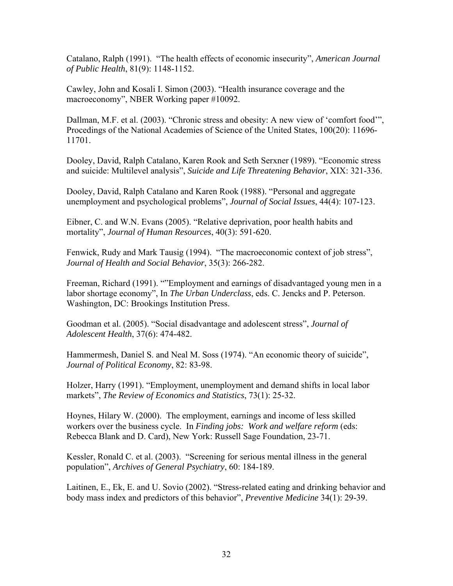Catalano, Ralph (1991). "The health effects of economic insecurity", *American Journal of Public Health*, 81(9): 1148-1152.

Cawley, John and Kosali I. Simon (2003). "Health insurance coverage and the macroeconomy", NBER Working paper #10092.

Dallman, M.F. et al. (2003). "Chronic stress and obesity: A new view of 'comfort food'", Procedings of the National Academies of Science of the United States, 100(20): 11696- 11701.

Dooley, David, Ralph Catalano, Karen Rook and Seth Serxner (1989). "Economic stress and suicide: Multilevel analysis", *Suicide and Life Threatening Behavior*, XIX: 321-336.

Dooley, David, Ralph Catalano and Karen Rook (1988). "Personal and aggregate unemployment and psychological problems", *Journal of Social Issues*, 44(4): 107-123.

Eibner, C. and W.N. Evans (2005). "Relative deprivation, poor health habits and mortality", *Journal of Human Resources*, 40(3): 591-620.

Fenwick, Rudy and Mark Tausig (1994). "The macroeconomic context of job stress", *Journal of Health and Social Behavior*, 35(3): 266-282.

Freeman, Richard (1991). ""Employment and earnings of disadvantaged young men in a labor shortage economy", In *The Urban Underclass*, eds. C. Jencks and P. Peterson. Washington, DC: Brookings Institution Press.

Goodman et al. (2005). "Social disadvantage and adolescent stress", *Journal of Adolescent Health*, 37(6): 474-482.

Hammermesh, Daniel S. and Neal M. Soss (1974). "An economic theory of suicide", *Journal of Political Economy*, 82: 83-98.

Holzer, Harry (1991). "Employment, unemployment and demand shifts in local labor markets", *The Review of Economics and Statistics*, 73(1): 25-32.

Hoynes, Hilary W. (2000). The employment, earnings and income of less skilled workers over the business cycle. In *Finding jobs: Work and welfare reform* (eds: Rebecca Blank and D. Card), New York: Russell Sage Foundation, 23-71.

Kessler, Ronald C. et al. (2003). "Screening for serious mental illness in the general population", *Archives of General Psychiatry*, 60: 184-189.

Laitinen, E., Ek, E. and U. Sovio (2002). "Stress-related eating and drinking behavior and body mass index and predictors of this behavior", *Preventive Medicine* 34(1): 29-39.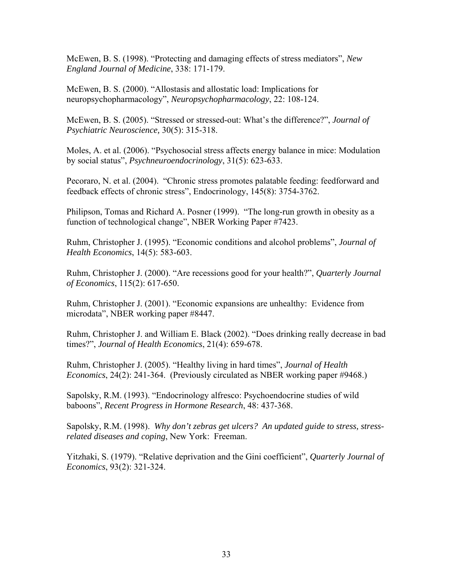McEwen, B. S. (1998). "Protecting and damaging effects of stress mediators", *New England Journal of Medicine*, 338: 171-179.

McEwen, B. S. (2000). "Allostasis and allostatic load: Implications for neuropsychopharmacology", *Neuropsychopharmacology*, 22: 108-124.

McEwen, B. S. (2005). "Stressed or stressed-out: What's the difference?", *Journal of Psychiatric Neuroscience,* 30(5): 315-318.

Moles, A. et al. (2006). "Psychosocial stress affects energy balance in mice: Modulation by social status", *Psychneuroendocrinology*, 31(5): 623-633.

Pecoraro, N. et al. (2004). "Chronic stress promotes palatable feeding: feedforward and feedback effects of chronic stress", Endocrinology, 145(8): 3754-3762.

Philipson, Tomas and Richard A. Posner (1999). "The long-run growth in obesity as a function of technological change", NBER Working Paper #7423.

Ruhm, Christopher J. (1995). "Economic conditions and alcohol problems", *Journal of Health Economics*, 14(5): 583-603.

Ruhm, Christopher J. (2000). "Are recessions good for your health?", *Quarterly Journal of Economics*, 115(2): 617-650.

Ruhm, Christopher J. (2001). "Economic expansions are unhealthy: Evidence from microdata", NBER working paper #8447.

Ruhm, Christopher J. and William E. Black (2002). "Does drinking really decrease in bad times?", *Journal of Health Economics*, 21(4): 659-678.

Ruhm, Christopher J. (2005). "Healthy living in hard times", *Journal of Health Economics*, 24(2): 241-364. (Previously circulated as NBER working paper #9468.)

Sapolsky, R.M. (1993). "Endocrinology alfresco: Psychoendocrine studies of wild baboons", *Recent Progress in Hormone Research*, 48: 437-368.

Sapolsky, R.M. (1998). *Why don't zebras get ulcers? An updated guide to stress, stressrelated diseases and coping*, New York: Freeman.

Yitzhaki, S. (1979). "Relative deprivation and the Gini coefficient", *Quarterly Journal of Economics*, 93(2): 321-324.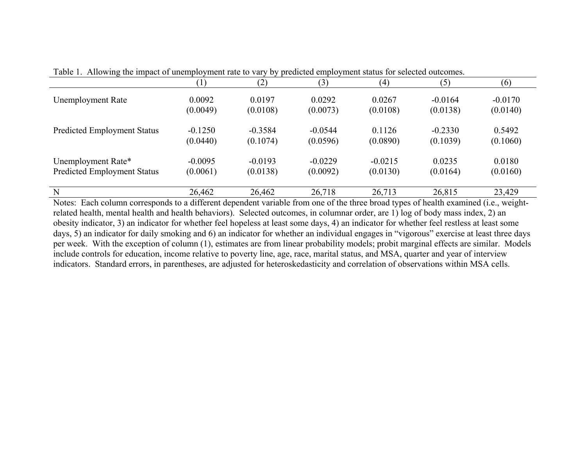|                                    |           | (2)       | (3)       | $\left( 4\right)$ | (5)       | (6)       |
|------------------------------------|-----------|-----------|-----------|-------------------|-----------|-----------|
| Unemployment Rate                  | 0.0092    | 0.0197    | 0.0292    | 0.0267            | $-0.0164$ | $-0.0170$ |
|                                    | (0.0049)  | (0.0108)  | (0.0073)  | (0.0108)          | (0.0138)  | (0.0140)  |
| <b>Predicted Employment Status</b> | $-0.1250$ | $-0.3584$ | $-0.0544$ | 0.1126            | $-0.2330$ | 0.5492    |
|                                    | (0.0440)  | (0.1074)  | (0.0596)  | (0.0890)          | (0.1039)  | (0.1060)  |
| Unemployment Rate*                 | $-0.0095$ | $-0.0193$ | $-0.0229$ | $-0.0215$         | 0.0235    | 0.0180    |
| <b>Predicted Employment Status</b> | (0.0061)  | (0.0138)  | (0.0092)  | (0.0130)          | (0.0164)  | (0.0160)  |
| N                                  | 26,462    | 26,462    | 26,718    | 26,713            | 26,815    | 23,429    |

Table 1. Allowing the impact of unemployment rate to vary by predicted employment status for selected outcomes.

Notes: Each column corresponds to a different dependent variable from one of the three broad types of health examined (i.e., weightrelated health, mental health and health behaviors). Selected outcomes, in columnar order, are 1) log of body mass index, 2) an obesity indicator, 3) an indicator for whether feel hopeless at least some days, 4) an indicator for whether feel restless at least some days, 5) an indicator for daily smoking and 6) an indicator for whether an individual engages in "vigorous" exercise at least three days per week. With the exception of column (1), estimates are from linear probability models; probit marginal effects are similar. Models include controls for education, income relative to poverty line, age, race, marital status, and MSA, quarter and year of interview indicators. Standard errors, in parentheses, are adjusted for heteroskedasticity and correlation of observations within MSA cells.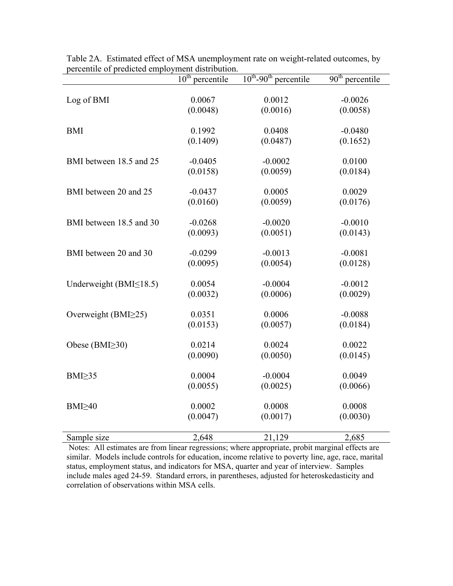|                               | $\overline{10}^{\text{th}}$ percentile | $10^{th}$ -90 <sup>th</sup> percentile | $\overline{90}$ <sup>th</sup> percentile |
|-------------------------------|----------------------------------------|----------------------------------------|------------------------------------------|
| Log of BMI                    | 0.0067                                 | 0.0012                                 | $-0.0026$                                |
|                               | (0.0048)                               | (0.0016)                               | (0.0058)                                 |
| <b>BMI</b>                    | 0.1992                                 | 0.0408                                 | $-0.0480$                                |
|                               | (0.1409)                               | (0.0487)                               | (0.1652)                                 |
| BMI between 18.5 and 25       | $-0.0405$                              | $-0.0002$                              | 0.0100                                   |
|                               | (0.0158)                               | (0.0059)                               | (0.0184)                                 |
| BMI between 20 and 25         | $-0.0437$                              | 0.0005                                 | 0.0029                                   |
|                               | (0.0160)                               | (0.0059)                               | (0.0176)                                 |
| BMI between 18.5 and 30       | $-0.0268$                              | $-0.0020$                              | $-0.0010$                                |
|                               | (0.0093)                               | (0.0051)                               | (0.0143)                                 |
| BMI between 20 and 30         | $-0.0299$                              | $-0.0013$                              | $-0.0081$                                |
|                               | (0.0095)                               | (0.0054)                               | (0.0128)                                 |
| Underweight (BMI $\leq$ 18.5) | 0.0054                                 | $-0.0004$                              | $-0.0012$                                |
|                               | (0.0032)                               | (0.0006)                               | (0.0029)                                 |
| Overweight (BMI $\geq$ 25)    | 0.0351                                 | 0.0006                                 | $-0.0088$                                |
|                               | (0.0153)                               | (0.0057)                               | (0.0184)                                 |
| Obese (BMI $\geq$ 30)         | 0.0214                                 | 0.0024                                 | 0.0022                                   |
|                               | (0.0090)                               | (0.0050)                               | (0.0145)                                 |
| BMI <sub>235</sub>            | 0.0004                                 | $-0.0004$                              | 0.0049                                   |
|                               | (0.0055)                               | (0.0025)                               | (0.0066)                                 |
| $BMI \geq 40$                 | 0.0002                                 | 0.0008                                 | 0.0008                                   |
|                               | (0.0047)                               | (0.0017)                               | (0.0030)                                 |
| Sample size                   | 2,648                                  | 21,129                                 | 2,685                                    |

Table 2A. Estimated effect of MSA unemployment rate on weight-related outcomes, by percentile of predicted employment distribution.

Notes: All estimates are from linear regressions; where appropriate, probit marginal effects are similar. Models include controls for education, income relative to poverty line, age, race, marital status, employment status, and indicators for MSA, quarter and year of interview. Samples include males aged 24-59. Standard errors, in parentheses, adjusted for heteroskedasticity and correlation of observations within MSA cells.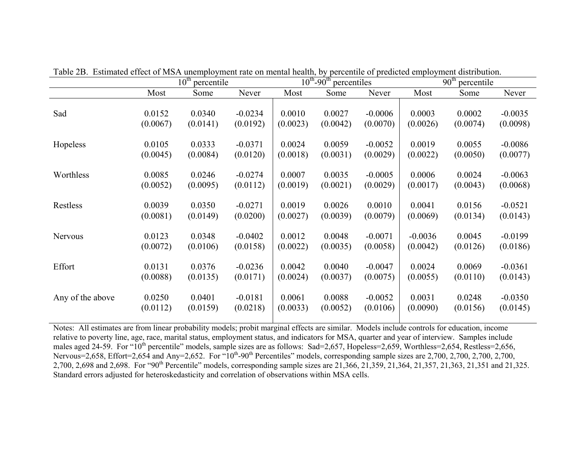|                  | $10^{\text{th}}$<br>percentile |          |           | $10^{th}$ -90 <sup>th</sup> percentiles |          |           | $90th$ percentile |          |           |
|------------------|--------------------------------|----------|-----------|-----------------------------------------|----------|-----------|-------------------|----------|-----------|
|                  | Most                           | Some     | Never     | Most                                    | Some     | Never     | Most              | Some     | Never     |
| Sad              | 0.0152                         | 0.0340   | $-0.0234$ | 0.0010                                  | 0.0027   | $-0.0006$ | 0.0003            | 0.0002   | $-0.0035$ |
|                  | (0.0067)                       | (0.0141) | (0.0192)  | (0.0023)                                | (0.0042) | (0.0070)  | (0.0026)          | (0.0074) | (0.0098)  |
| Hopeless         | 0.0105                         | 0.0333   | $-0.0371$ | 0.0024                                  | 0.0059   | $-0.0052$ | 0.0019            | 0.0055   | $-0.0086$ |
|                  | (0.0045)                       | (0.0084) | (0.0120)  | (0.0018)                                | (0.0031) | (0.0029)  | (0.0022)          | (0.0050) | (0.0077)  |
| Worthless        | 0.0085                         | 0.0246   | $-0.0274$ | 0.0007                                  | 0.0035   | $-0.0005$ | 0.0006            | 0.0024   | $-0.0063$ |
|                  | (0.0052)                       | (0.0095) | (0.0112)  | (0.0019)                                | (0.0021) | (0.0029)  | (0.0017)          | (0.0043) | (0.0068)  |
| Restless         | 0.0039                         | 0.0350   | $-0.0271$ | 0.0019                                  | 0.0026   | 0.0010    | 0.0041            | 0.0156   | $-0.0521$ |
|                  | (0.0081)                       | (0.0149) | (0.0200)  | (0.0027)                                | (0.0039) | (0.0079)  | (0.0069)          | (0.0134) | (0.0143)  |
| <b>Nervous</b>   | 0.0123                         | 0.0348   | $-0.0402$ | 0.0012                                  | 0.0048   | $-0.0071$ | $-0.0036$         | 0.0045   | $-0.0199$ |
|                  | (0.0072)                       | (0.0106) | (0.0158)  | (0.0022)                                | (0.0035) | (0.0058)  | (0.0042)          | (0.0126) | (0.0186)  |
| Effort           | 0.0131                         | 0.0376   | $-0.0236$ | 0.0042                                  | 0.0040   | $-0.0047$ | 0.0024            | 0.0069   | $-0.0361$ |
|                  | (0.0088)                       | (0.0135) | (0.0171)  | (0.0024)                                | (0.0037) | (0.0075)  | (0.0055)          | (0.0110) | (0.0143)  |
| Any of the above | 0.0250                         | 0.0401   | $-0.0181$ | 0.0061                                  | 0.0088   | $-0.0052$ | 0.0031            | 0.0248   | $-0.0350$ |
|                  | (0.0112)                       | (0.0159) | (0.0218)  | (0.0033)                                | (0.0052) | (0.0106)  | (0.0090)          | (0.0156) | (0.0145)  |

Table 2B. Estimated effect of MSA unemployment rate on mental health, by percentile of predicted employment distribution.

Notes: All estimates are from linear probability models; probit marginal effects are similar. Models include controls for education, income relative to poverty line, age, race, marital status, employment status, and indicators for MSA, quarter and year of interview. Samples include males aged 24-59. For "10<sup>th</sup> percentile" models, sample sizes are as follows: Sad=2,657, Hopeless=2,659, Worthless=2,654, Restless=2,656, Nervous=2,658, Effort=2,654 and Any=2,652. For "10<sup>th</sup>-90<sup>th</sup> Percentiles" models, corresponding sample sizes are 2,700, 2,700, 2,700, 2,700, 2,700, 2,700, 2,698 and 2,698. For "90<sup>th</sup> Percentile" models, corresponding sample sizes are 21,366, 21,359, 21,364, 21,357, 21,363, 21,351 and 21,325. Standard errors adjusted for heteroskedasticity and correlation of observations within MSA cells.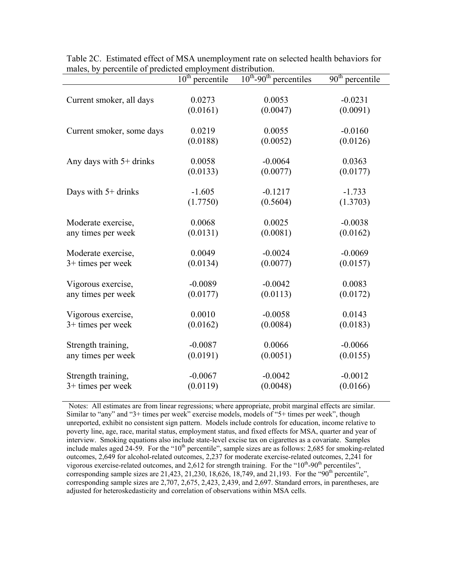|                           | $10^{\overline{th}}$<br>percentile | $10^{th}$ -90 <sup>th</sup> percentiles | $90^{\text{th}}$<br>percentile |
|---------------------------|------------------------------------|-----------------------------------------|--------------------------------|
| Current smoker, all days  | 0.0273                             | 0.0053                                  | $-0.0231$                      |
|                           | (0.0161)                           | (0.0047)                                | (0.0091)                       |
| Current smoker, some days | 0.0219                             | 0.0055                                  | $-0.0160$                      |
|                           | (0.0188)                           | (0.0052)                                | (0.0126)                       |
| Any days with $5+$ drinks | 0.0058                             | $-0.0064$                               | 0.0363                         |
|                           | (0.0133)                           | (0.0077)                                | (0.0177)                       |
| Days with 5+ drinks       | $-1.605$                           | $-0.1217$                               | $-1.733$                       |
|                           | (1.7750)                           | (0.5604)                                | (1.3703)                       |
| Moderate exercise,        | 0.0068                             | 0.0025                                  | $-0.0038$                      |
| any times per week        | (0.0131)                           | (0.0081)                                | (0.0162)                       |
| Moderate exercise,        | 0.0049                             | $-0.0024$                               | $-0.0069$                      |
| $3+$ times per week       | (0.0134)                           | (0.0077)                                | (0.0157)                       |
| Vigorous exercise,        | $-0.0089$                          | $-0.0042$                               | 0.0083                         |
| any times per week        | (0.0177)                           | (0.0113)                                | (0.0172)                       |
| Vigorous exercise,        | 0.0010                             | $-0.0058$                               | 0.0143                         |
| $3+$ times per week       | (0.0162)                           | (0.0084)                                | (0.0183)                       |
| Strength training,        | $-0.0087$                          | 0.0066                                  | $-0.0066$                      |
| any times per week        | (0.0191)                           | (0.0051)                                | (0.0155)                       |
| Strength training,        | $-0.0067$                          | $-0.0042$                               | $-0.0012$                      |
| $3+$ times per week       | (0.0119)                           | (0.0048)                                | (0.0166)                       |

Table 2C. Estimated effect of MSA unemployment rate on selected health behaviors for males, by percentile of predicted employment distribution.

Notes: All estimates are from linear regressions; where appropriate, probit marginal effects are similar. Similar to "any" and "3+ times per week" exercise models, models of "5+ times per week", though unreported, exhibit no consistent sign pattern. Models include controls for education, income relative to poverty line, age, race, marital status, employment status, and fixed effects for MSA, quarter and year of interview. Smoking equations also include state-level excise tax on cigarettes as a covariate. Samples include males aged 24-59. For the " $10<sup>th</sup>$  percentile", sample sizes are as follows: 2,685 for smoking-related outcomes, 2,649 for alcohol-related outcomes, 2,237 for moderate exercise-related outcomes, 2,241 for vigorous exercise-related outcomes, and 2,612 for strength training. For the " $10^{th}$ -90<sup>th</sup> percentiles", corresponding sample sizes are  $21,423, 21,230, 18,626, 18,749,$  and  $21,193$ . For the " $90<sup>th</sup>$  percentile", corresponding sample sizes are 2,707, 2,675, 2,423, 2,439, and 2,697. Standard errors, in parentheses, are adjusted for heteroskedasticity and correlation of observations within MSA cells.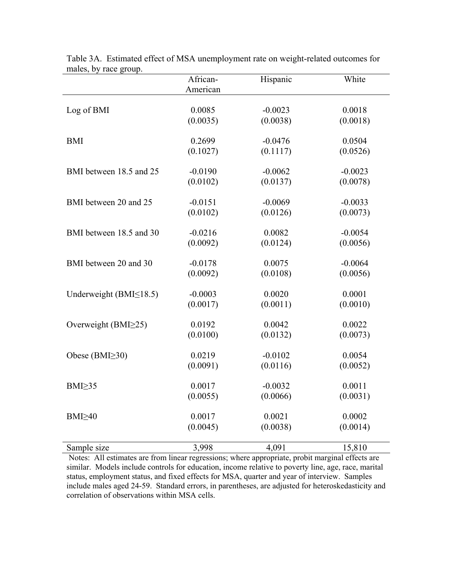|                               | African-  | Hispanic  | White     |
|-------------------------------|-----------|-----------|-----------|
|                               | American  |           |           |
|                               |           |           |           |
| Log of BMI                    | 0.0085    | $-0.0023$ | 0.0018    |
|                               | (0.0035)  | (0.0038)  | (0.0018)  |
|                               |           |           |           |
| <b>BMI</b>                    | 0.2699    | $-0.0476$ | 0.0504    |
|                               | (0.1027)  | (0.1117)  | (0.0526)  |
| BMI between 18.5 and 25       | $-0.0190$ | $-0.0062$ | $-0.0023$ |
|                               | (0.0102)  | (0.0137)  | (0.0078)  |
|                               |           |           |           |
| BMI between 20 and 25         | $-0.0151$ | $-0.0069$ | $-0.0033$ |
|                               | (0.0102)  | (0.0126)  | (0.0073)  |
|                               |           |           |           |
| BMI between 18.5 and 30       | $-0.0216$ | 0.0082    | $-0.0054$ |
|                               | (0.0092)  | (0.0124)  | (0.0056)  |
|                               |           |           |           |
| BMI between 20 and 30         | $-0.0178$ | 0.0075    | $-0.0064$ |
|                               | (0.0092)  | (0.0108)  | (0.0056)  |
| Underweight (BMI $\leq$ 18.5) | $-0.0003$ | 0.0020    | 0.0001    |
|                               | (0.0017)  | (0.0011)  | (0.0010)  |
|                               |           |           |           |
| Overweight (BMI $\geq$ 25)    | 0.0192    | 0.0042    | 0.0022    |
|                               | (0.0100)  | (0.0132)  | (0.0073)  |
|                               |           |           |           |
| Obese (BMI $\geq$ 30)         | 0.0219    | $-0.0102$ | 0.0054    |
|                               | (0.0091)  | (0.0116)  | (0.0052)  |
| $BMI \geq 35$                 | 0.0017    | $-0.0032$ | 0.0011    |
|                               | (0.0055)  | (0.0066)  | (0.0031)  |
|                               |           |           |           |
| BMI <sub>240</sub>            | 0.0017    | 0.0021    | 0.0002    |
|                               | (0.0045)  | (0.0038)  | (0.0014)  |
|                               |           |           |           |
| Sample size                   | 3,998     | 4,091     | 15,810    |

Table 3A. Estimated effect of MSA unemployment rate on weight-related outcomes for males, by race group.

Notes: All estimates are from linear regressions; where appropriate, probit marginal effects are similar. Models include controls for education, income relative to poverty line, age, race, marital status, employment status, and fixed effects for MSA, quarter and year of interview. Samples include males aged 24-59. Standard errors, in parentheses, are adjusted for heteroskedasticity and correlation of observations within MSA cells.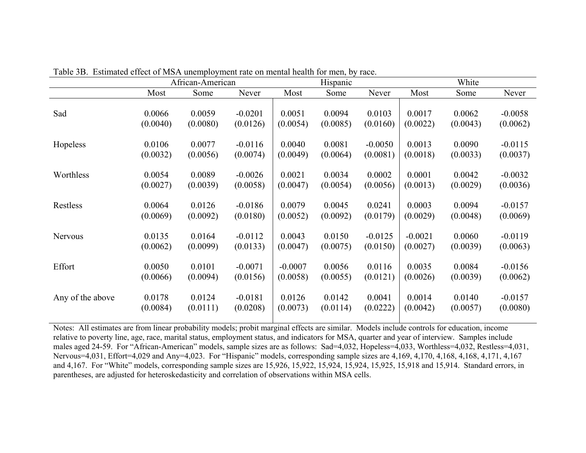|                  | African-American |          | Hispanic  |           |          | White     |           |          |           |
|------------------|------------------|----------|-----------|-----------|----------|-----------|-----------|----------|-----------|
|                  | Most             | Some     | Never     | Most      | Some     | Never     | Most      | Some     | Never     |
| Sad              | 0.0066           | 0.0059   | $-0.0201$ | 0.0051    | 0.0094   | 0.0103    | 0.0017    | 0.0062   | $-0.0058$ |
|                  | (0.0040)         | (0.0080) | (0.0126)  | (0.0054)  | (0.0085) | (0.0160)  | (0.0022)  | (0.0043) | (0.0062)  |
| Hopeless         | 0.0106           | 0.0077   | $-0.0116$ | 0.0040    | 0.0081   | $-0.0050$ | 0.0013    | 0.0090   | $-0.0115$ |
|                  | (0.0032)         | (0.0056) | (0.0074)  | (0.0049)  | (0.0064) | (0.0081)  | (0.0018)  | (0.0033) | (0.0037)  |
| Worthless        | 0.0054           | 0.0089   | $-0.0026$ | 0.0021    | 0.0034   | 0.0002    | 0.0001    | 0.0042   | $-0.0032$ |
|                  | (0.0027)         | (0.0039) | (0.0058)  | (0.0047)  | (0.0054) | (0.0056)  | (0.0013)  | (0.0029) | (0.0036)  |
| Restless         | 0.0064           | 0.0126   | $-0.0186$ | 0.0079    | 0.0045   | 0.0241    | 0.0003    | 0.0094   | $-0.0157$ |
|                  | (0.0069)         | (0.0092) | (0.0180)  | (0.0052)  | (0.0092) | (0.0179)  | (0.0029)  | (0.0048) | (0.0069)  |
| <b>Nervous</b>   | 0.0135           | 0.0164   | $-0.0112$ | 0.0043    | 0.0150   | $-0.0125$ | $-0.0021$ | 0.0060   | $-0.0119$ |
|                  | (0.0062)         | (0.0099) | (0.0133)  | (0.0047)  | (0.0075) | (0.0150)  | (0.0027)  | (0.0039) | (0.0063)  |
| Effort           | 0.0050           | 0.0101   | $-0.0071$ | $-0.0007$ | 0.0056   | 0.0116    | 0.0035    | 0.0084   | $-0.0156$ |
|                  | (0.0066)         | (0.0094) | (0.0156)  | (0.0058)  | (0.0055) | (0.0121)  | (0.0026)  | (0.0039) | (0.0062)  |
| Any of the above | 0.0178           | 0.0124   | $-0.0181$ | 0.0126    | 0.0142   | 0.0041    | 0.0014    | 0.0140   | $-0.0157$ |
|                  | (0.0084)         | (0.0111) | (0.0208)  | (0.0073)  | (0.0114) | (0.0222)  | (0.0042)  | (0.0057) | (0.0080)  |

Table 3B. Estimated effect of MSA unemployment rate on mental health for men, by race.

Notes: All estimates are from linear probability models; probit marginal effects are similar. Models include controls for education, income relative to poverty line, age, race, marital status, employment status, and indicators for MSA, quarter and year of interview. Samples include males aged 24-59. For "African-American" models, sample sizes are as follows: Sad=4,032, Hopeless=4,033, Worthless=4,032, Restless=4,031, Nervous=4,031, Effort=4,029 and Any=4,023. For "Hispanic" models, corresponding sample sizes are 4,169, 4,170, 4,168, 4,168, 4,171, 4,167 and 4,167. For "White" models, corresponding sample sizes are 15,926, 15,922, 15,924, 15,924, 15,925, 15,918 and 15,914. Standard errors, in parentheses, are adjusted for heteroskedasticity and correlation of observations within MSA cells.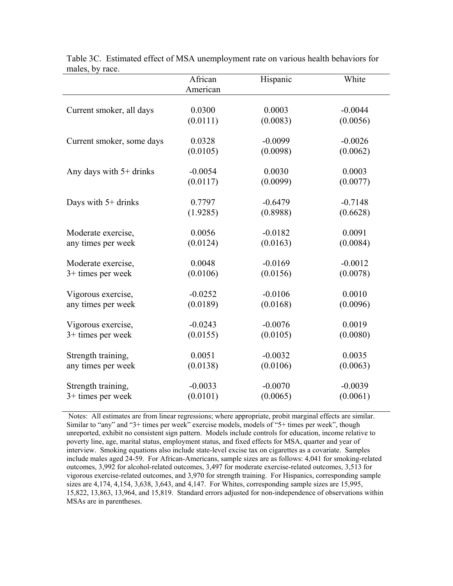|                           | African<br>American | Hispanic  | White     |
|---------------------------|---------------------|-----------|-----------|
| Current smoker, all days  | 0.0300              | 0.0003    | $-0.0044$ |
|                           | (0.0111)            | (0.0083)  | (0.0056)  |
| Current smoker, some days | 0.0328              | $-0.0099$ | $-0.0026$ |
|                           | (0.0105)            | (0.0098)  | (0.0062)  |
| Any days with $5+$ drinks | $-0.0054$           | 0.0030    | 0.0003    |
|                           | (0.0117)            | (0.0099)  | (0.0077)  |
| Days with $5+$ drinks     | 0.7797              | $-0.6479$ | $-0.7148$ |
|                           | (1.9285)            | (0.8988)  | (0.6628)  |
| Moderate exercise,        | 0.0056              | $-0.0182$ | 0.0091    |
| any times per week        | (0.0124)            | (0.0163)  | (0.0084)  |
| Moderate exercise,        | 0.0048              | $-0.0169$ | $-0.0012$ |
| 3+ times per week         | (0.0106)            | (0.0156)  | (0.0078)  |
| Vigorous exercise,        | $-0.0252$           | $-0.0106$ | 0.0010    |
| any times per week        | (0.0189)            | (0.0168)  | (0.0096)  |
| Vigorous exercise,        | $-0.0243$           | $-0.0076$ | 0.0019    |
| 3+ times per week         | (0.0155)            | (0.0105)  | (0.0080)  |
| Strength training,        | 0.0051              | $-0.0032$ | 0.0035    |
| any times per week        | (0.0138)            | (0.0106)  | (0.0063)  |
| Strength training,        | $-0.0033$           | $-0.0070$ | $-0.0039$ |
| 3+ times per week         | (0.0101)            | (0.0065)  | (0.0061)  |

Table 3C. Estimated effect of MSA unemployment rate on various health behaviors for males, by race.

 Notes: All estimates are from linear regressions; where appropriate, probit marginal effects are similar. Similar to "any" and "3+ times per week" exercise models, models of "5+ times per week", though unreported, exhibit no consistent sign pattern. Models include controls for education, income relative to poverty line, age, marital status, employment status, and fixed effects for MSA, quarter and year of interview. Smoking equations also include state-level excise tax on cigarettes as a covariate. Samples include males aged 24-59. For African-Americans, sample sizes are as follows: 4,041 for smoking-related outcomes, 3,992 for alcohol-related outcomes, 3,497 for moderate exercise-related outcomes, 3,513 for vigorous exercise-related outcomes, and 3,970 for strength training. For Hispanics, corresponding sample sizes are 4,174, 4,154, 3,638, 3,643, and 4,147. For Whites, corresponding sample sizes are 15,995, 15,822, 13,863, 13,964, and 15,819. Standard errors adjusted for non-independence of observations within MSAs are in parentheses.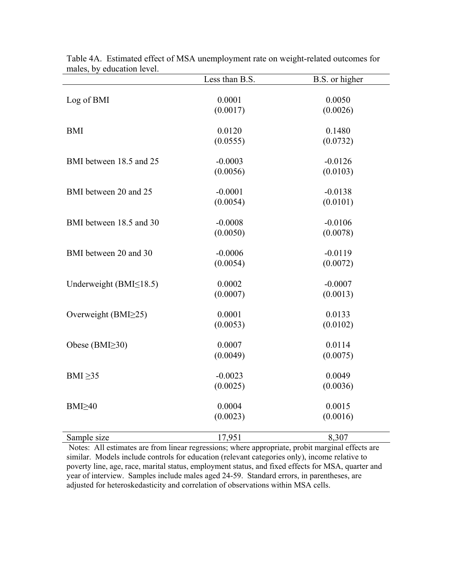|                               | Less than B.S. | B.S. or higher |
|-------------------------------|----------------|----------------|
|                               |                |                |
| Log of BMI                    | 0.0001         | 0.0050         |
|                               | (0.0017)       | (0.0026)       |
| <b>BMI</b>                    | 0.0120         | 0.1480         |
|                               | (0.0555)       | (0.0732)       |
|                               |                |                |
| BMI between 18.5 and 25       | $-0.0003$      | $-0.0126$      |
|                               | (0.0056)       | (0.0103)       |
| BMI between 20 and 25         | $-0.0001$      | $-0.0138$      |
|                               | (0.0054)       | (0.0101)       |
| BMI between 18.5 and 30       | $-0.0008$      | $-0.0106$      |
|                               | (0.0050)       | (0.0078)       |
|                               |                |                |
| BMI between 20 and 30         | $-0.0006$      | $-0.0119$      |
|                               | (0.0054)       | (0.0072)       |
| Underweight (BMI $\leq$ 18.5) | 0.0002         | $-0.0007$      |
|                               | (0.0007)       | (0.0013)       |
|                               |                |                |
| Overweight (BMI $\geq$ 25)    | 0.0001         | 0.0133         |
|                               | (0.0053)       | (0.0102)       |
| Obese (BMI $\geq$ 30)         | 0.0007         | 0.0114         |
|                               | (0.0049)       | (0.0075)       |
|                               |                |                |
| BMI $\geq$ 35                 | $-0.0023$      | 0.0049         |
|                               | (0.0025)       | (0.0036)       |
| BMI <sub>240</sub>            | 0.0004         | 0.0015         |
|                               | (0.0023)       | (0.0016)       |
|                               |                |                |
| Sample size                   | 17,951         | 8,307          |

| Table 4A. Estimated effect of MSA unemployment rate on weight-related outcomes for |  |  |  |
|------------------------------------------------------------------------------------|--|--|--|
| males, by education level.                                                         |  |  |  |

Notes: All estimates are from linear regressions; where appropriate, probit marginal effects are similar. Models include controls for education (relevant categories only), income relative to poverty line, age, race, marital status, employment status, and fixed effects for MSA, quarter and year of interview. Samples include males aged 24-59. Standard errors, in parentheses, are adjusted for heteroskedasticity and correlation of observations within MSA cells.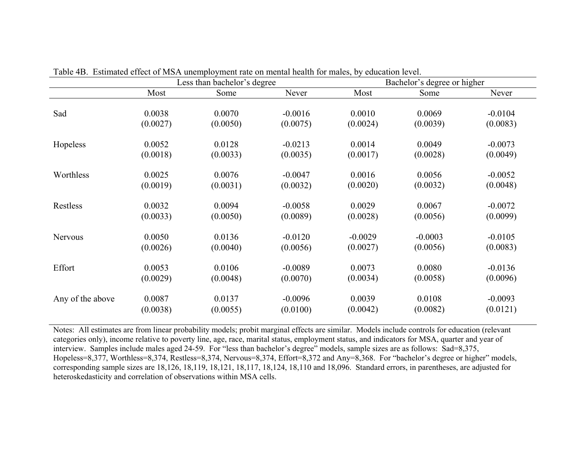|                  |          | Less than bachelor's degree |           | Bachelor's degree or higher |           |           |  |
|------------------|----------|-----------------------------|-----------|-----------------------------|-----------|-----------|--|
|                  | Most     | Some                        | Never     | Most                        | Some      | Never     |  |
| Sad              | 0.0038   | 0.0070                      | $-0.0016$ | 0.0010                      | 0.0069    | $-0.0104$ |  |
|                  | (0.0027) | (0.0050)                    | (0.0075)  | (0.0024)                    | (0.0039)  | (0.0083)  |  |
| Hopeless         | 0.0052   | 0.0128                      | $-0.0213$ | 0.0014                      | 0.0049    | $-0.0073$ |  |
|                  | (0.0018) | (0.0033)                    | (0.0035)  | (0.0017)                    | (0.0028)  | (0.0049)  |  |
| Worthless        | 0.0025   | 0.0076                      | $-0.0047$ | 0.0016                      | 0.0056    | $-0.0052$ |  |
|                  | (0.0019) | (0.0031)                    | (0.0032)  | (0.0020)                    | (0.0032)  | (0.0048)  |  |
| Restless         | 0.0032   | 0.0094                      | $-0.0058$ | 0.0029                      | 0.0067    | $-0.0072$ |  |
|                  | (0.0033) | (0.0050)                    | (0.0089)  | (0.0028)                    | (0.0056)  | (0.0099)  |  |
| <b>Nervous</b>   | 0.0050   | 0.0136                      | $-0.0120$ | $-0.0029$                   | $-0.0003$ | $-0.0105$ |  |
|                  | (0.0026) | (0.0040)                    | (0.0056)  | (0.0027)                    | (0.0056)  | (0.0083)  |  |
| Effort           | 0.0053   | 0.0106                      | $-0.0089$ | 0.0073                      | 0.0080    | $-0.0136$ |  |
|                  | (0.0029) | (0.0048)                    | (0.0070)  | (0.0034)                    | (0.0058)  | (0.0096)  |  |
| Any of the above | 0.0087   | 0.0137                      | $-0.0096$ | 0.0039                      | 0.0108    | $-0.0093$ |  |
|                  | (0.0038) | (0.0055)                    | (0.0100)  | (0.0042)                    | (0.0082)  | (0.0121)  |  |

Table 4B. Estimated effect of MSA unemployment rate on mental health for males, by education level.

Notes: All estimates are from linear probability models; probit marginal effects are similar. Models include controls for education (relevant categories only), income relative to poverty line, age, race, marital status, employment status, and indicators for MSA, quarter and year of interview. Samples include males aged 24-59. For "less than bachelor's degree" models, sample sizes are as follows: Sad=8,375, Hopeless=8,377, Worthless=8,374, Restless=8,374, Nervous=8,374, Effort=8,372 and Any=8,368. For "bachelor's degree or higher" models, corresponding sample sizes are 18,126, 18,119, 18,121, 18,117, 18,124, 18,110 and 18,096. Standard errors, in parentheses, are adjusted for heteroskedasticity and correlation of observations within MSA cells.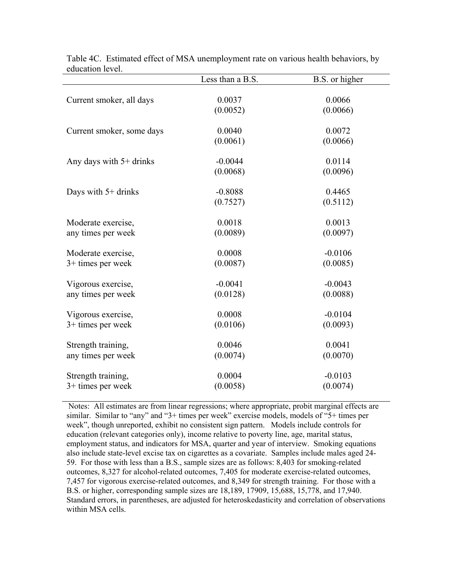|                           | Less than a B.S. | B.S. or higher |
|---------------------------|------------------|----------------|
|                           |                  |                |
| Current smoker, all days  | 0.0037           | 0.0066         |
|                           | (0.0052)         | (0.0066)       |
|                           |                  |                |
| Current smoker, some days | 0.0040           | 0.0072         |
|                           | (0.0061)         | (0.0066)       |
|                           |                  |                |
| Any days with $5+$ drinks | $-0.0044$        | 0.0114         |
|                           | (0.0068)         | (0.0096)       |
| Days with $5+$ drinks     | $-0.8088$        | 0.4465         |
|                           | (0.7527)         | (0.5112)       |
|                           |                  |                |
| Moderate exercise,        | 0.0018           | 0.0013         |
| any times per week        | (0.0089)         | (0.0097)       |
|                           |                  |                |
| Moderate exercise,        | 0.0008           | $-0.0106$      |
| $3+$ times per week       | (0.0087)         | (0.0085)       |
|                           |                  |                |
| Vigorous exercise,        | $-0.0041$        | $-0.0043$      |
| any times per week        | (0.0128)         | (0.0088)       |
|                           |                  |                |
| Vigorous exercise,        | 0.0008           | $-0.0104$      |
| 3+ times per week         | (0.0106)         | (0.0093)       |
| Strength training,        | 0.0046           | 0.0041         |
| any times per week        | (0.0074)         | (0.0070)       |
|                           |                  |                |
| Strength training,        | 0.0004           | $-0.0103$      |
| $3+$ times per week       | (0.0058)         | (0.0074)       |
|                           |                  |                |

Table 4C. Estimated effect of MSA unemployment rate on various health behaviors, by education level.

Notes: All estimates are from linear regressions; where appropriate, probit marginal effects are similar. Similar to "any" and "3+ times per week" exercise models, models of "5+ times per week", though unreported, exhibit no consistent sign pattern. Models include controls for education (relevant categories only), income relative to poverty line, age, marital status, employment status, and indicators for MSA, quarter and year of interview. Smoking equations also include state-level excise tax on cigarettes as a covariate. Samples include males aged 24- 59. For those with less than a B.S., sample sizes are as follows: 8,403 for smoking-related outcomes, 8,327 for alcohol-related outcomes, 7,405 for moderate exercise-related outcomes, 7,457 for vigorous exercise-related outcomes, and 8,349 for strength training. For those with a B.S. or higher, corresponding sample sizes are 18,189, 17909, 15,688, 15,778, and 17,940. Standard errors, in parentheses, are adjusted for heteroskedasticity and correlation of observations within MSA cells.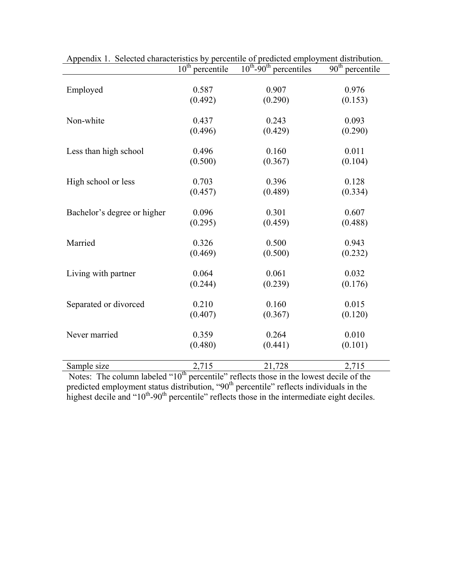|                                       | $10^{\overline{\text{th}}}$<br>percentile | $10^{th}$ -90 <sup>th</sup> percentiles               | 90 <sup>th</sup><br>percentile |
|---------------------------------------|-------------------------------------------|-------------------------------------------------------|--------------------------------|
| Employed                              | 0.587                                     | 0.907                                                 | 0.976                          |
|                                       | (0.492)                                   | (0.290)                                               | (0.153)                        |
|                                       |                                           |                                                       |                                |
| Non-white                             | 0.437                                     | 0.243                                                 | 0.093                          |
|                                       | (0.496)                                   | (0.429)                                               | (0.290)                        |
|                                       |                                           |                                                       |                                |
| Less than high school                 | 0.496                                     | 0.160                                                 | 0.011                          |
|                                       | (0.500)                                   | (0.367)                                               | (0.104)                        |
|                                       | 0.703                                     | 0.396                                                 | 0.128                          |
| High school or less                   | (0.457)                                   | (0.489)                                               | (0.334)                        |
|                                       |                                           |                                                       |                                |
| Bachelor's degree or higher           | 0.096                                     | 0.301                                                 | 0.607                          |
|                                       | (0.295)                                   | (0.459)                                               | (0.488)                        |
|                                       |                                           |                                                       |                                |
| Married                               | 0.326                                     | 0.500                                                 | 0.943                          |
|                                       | (0.469)                                   | (0.500)                                               | (0.232)                        |
| Living with partner                   | 0.064                                     | 0.061                                                 | 0.032                          |
|                                       | (0.244)                                   | (0.239)                                               | (0.176)                        |
|                                       |                                           |                                                       |                                |
| Separated or divorced                 | 0.210                                     | 0.160                                                 | 0.015                          |
|                                       | (0.407)                                   | (0.367)                                               | (0.120)                        |
|                                       |                                           |                                                       |                                |
| Never married                         | 0.359                                     | 0.264                                                 | 0.010                          |
|                                       | (0.480)                                   | (0.441)                                               | (0.101)                        |
| Sample size                           | 2,715                                     | 21,728                                                | 2,715                          |
| Notos: The column labeled " $10^{th}$ |                                           | paraentile" rate at those in the lowest decile of the |                                |

|  |  |  |  | Appendix 1. Selected characteristics by percentile of predicted employment distribution. |
|--|--|--|--|------------------------------------------------------------------------------------------|
|  |  |  |  |                                                                                          |

Notes: The column labeled " $10<sup>th</sup>$  percentile" reflects those in the lowest decile of the predicted employment status distribution, "90<sup>th</sup> percentile" reflects individuals in the highest decile and " $10<sup>th</sup>$ -90<sup>th</sup> percentile" reflects those in the intermediate eight deciles.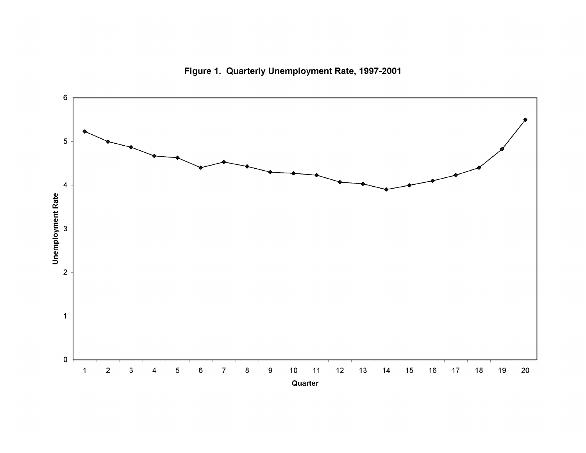

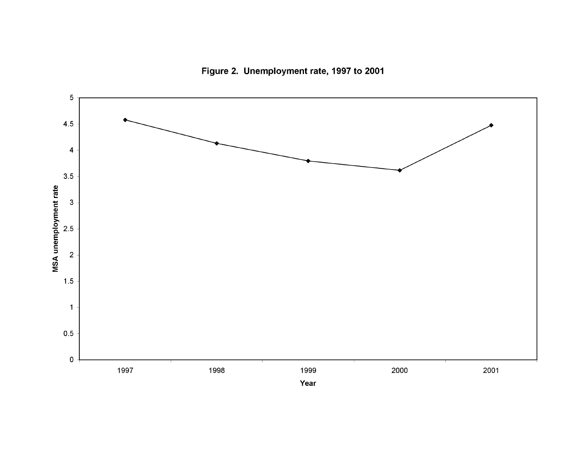Figure 2. Unemployment rate, 1997 to 2001

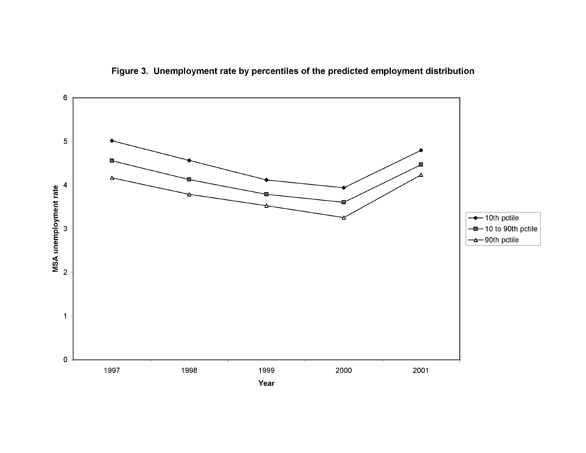

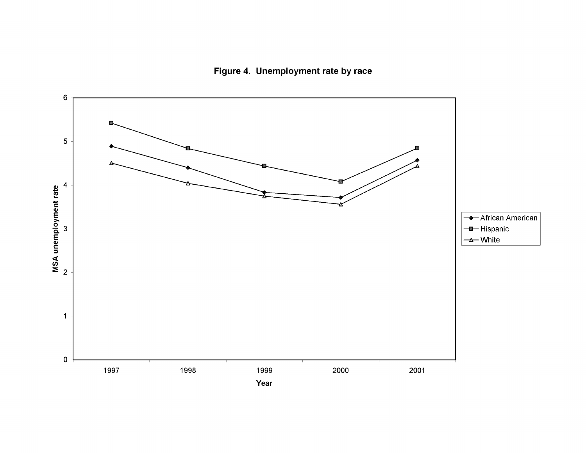Figure 4. Unemployment rate by race